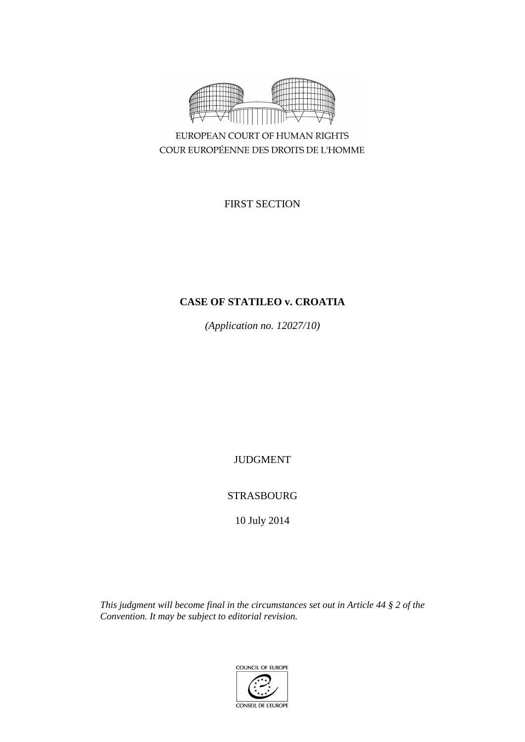

EUROPEAN COURT OF HUMAN RIGHTS COUR EUROPÉENNE DES DROITS DE L'HOMME

FIRST SECTION

# **CASE OF STATILEO v. CROATIA**

*(Application no. 12027/10)*

JUDGMENT

STRASBOURG

10 July 2014

*This judgment will become final in the circumstances set out in Article 44 § 2 of the Convention. It may be subject to editorial revision.*

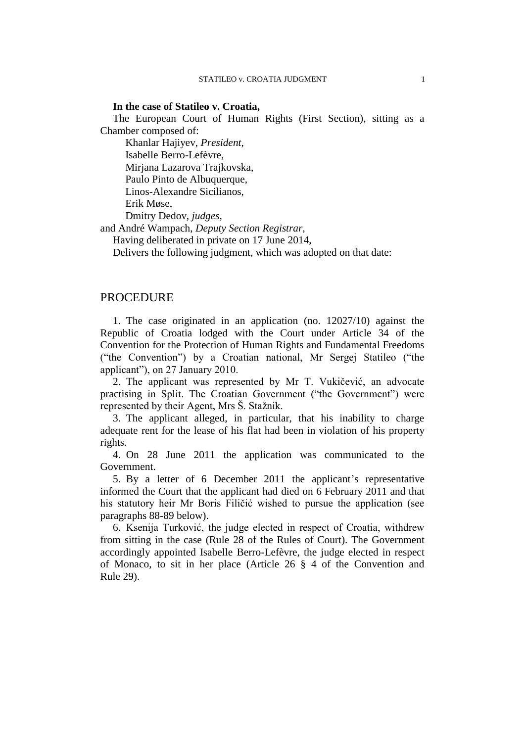## **In the case of Statileo v. Croatia,**

The European Court of Human Rights (First Section), sitting as a Chamber composed of:

Khanlar Hajiyev, *President,* Isabelle Berro-Lefèvre, Mirjana Lazarova Trajkovska, Paulo Pinto de Albuquerque, Linos-Alexandre Sicilianos, Erik Møse, Dmitry Dedov, *judges,*

and André Wampach, *Deputy Section Registrar,*

Having deliberated in private on 17 June 2014,

Delivers the following judgment, which was adopted on that date:

## PROCEDURE

1. The case originated in an application (no. 12027/10) against the Republic of Croatia lodged with the Court under Article 34 of the Convention for the Protection of Human Rights and Fundamental Freedoms ("the Convention") by a Croatian national, Mr Sergej Statileo ("the applicant"), on 27 January 2010.

2. The applicant was represented by Mr T. Vukičević, an advocate practising in Split. The Croatian Government ("the Government") were represented by their Agent, Mrs Š. Stažnik.

3. The applicant alleged, in particular, that his inability to charge adequate rent for the lease of his flat had been in violation of his property rights.

4. On 28 June 2011 the application was communicated to the Government.

5. By a letter of 6 December 2011 the applicant's representative informed the Court that the applicant had died on 6 February 2011 and that his statutory heir Mr Boris Filičić wished to pursue the application (see paragraphs 88-89 below).

6. Ksenija Turković, the judge elected in respect of Croatia, withdrew from sitting in the case (Rule 28 of the Rules of Court). The Government accordingly appointed Isabelle Berro-Lefèvre, the judge elected in respect of Monaco, to sit in her place (Article 26 § 4 of the Convention and Rule 29).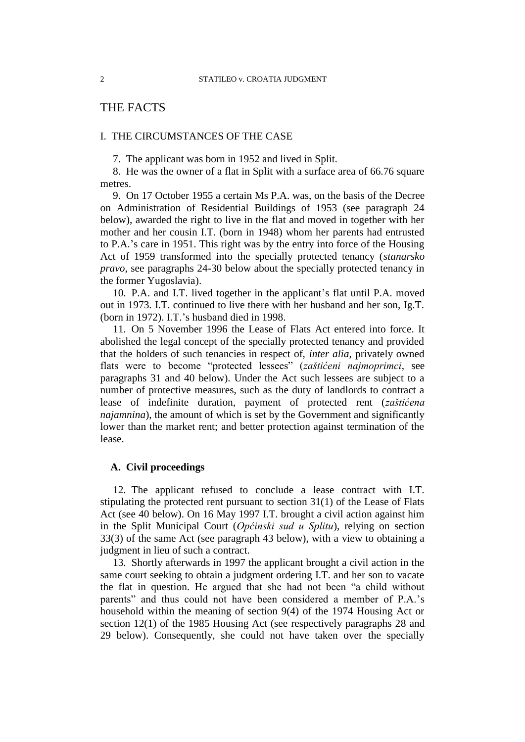# THE FACTS

## I. THE CIRCUMSTANCES OF THE CASE

7. The applicant was born in 1952 and lived in Split.

8. He was the owner of a flat in Split with a surface area of 66.76 square metres.

9. On 17 October 1955 a certain Ms P.A. was, on the basis of the Decree on Administration of Residential Buildings of 1953 (see paragraph 24 below), awarded the right to live in the flat and moved in together with her mother and her cousin I.T. (born in 1948) whom her parents had entrusted to P.A.'s care in 1951. This right was by the entry into force of the Housing Act of 1959 transformed into the specially protected tenancy (*stanarsko pravo*, see paragraphs 24-30 below about the specially protected tenancy in the former Yugoslavia).

10. P.A. and I.T. lived together in the applicant's flat until P.A. moved out in 1973. I.T. continued to live there with her husband and her son, Ig.T. (born in 1972). I.T.'s husband died in 1998.

11. On 5 November 1996 the Lease of Flats Act entered into force. It abolished the legal concept of the specially protected tenancy and provided that the holders of such tenancies in respect of, *inter alia*, privately owned flats were to become "protected lessees" (*zaštićeni najmoprimci*, see paragraphs 31 and 40 below). Under the Act such lessees are subject to a number of protective measures, such as the duty of landlords to contract a lease of indefinite duration, payment of protected rent (*zaštićena najamnina*), the amount of which is set by the Government and significantly lower than the market rent; and better protection against termination of the lease.

## **A. Civil proceedings**

12. The applicant refused to conclude a lease contract with I.T. stipulating the protected rent pursuant to section 31(1) of the Lease of Flats Act (see 40 below). On 16 May 1997 I.T. brought a civil action against him in the Split Municipal Court (*Općinski sud u Splitu*), relying on section 33(3) of the same Act (see paragraph 43 below), with a view to obtaining a judgment in lieu of such a contract.

13. Shortly afterwards in 1997 the applicant brought a civil action in the same court seeking to obtain a judgment ordering I.T. and her son to vacate the flat in question. He argued that she had not been "a child without parents" and thus could not have been considered a member of P.A.'s household within the meaning of section 9(4) of the 1974 Housing Act or section 12(1) of the 1985 Housing Act (see respectively paragraphs 28 and 29 below). Consequently, she could not have taken over the specially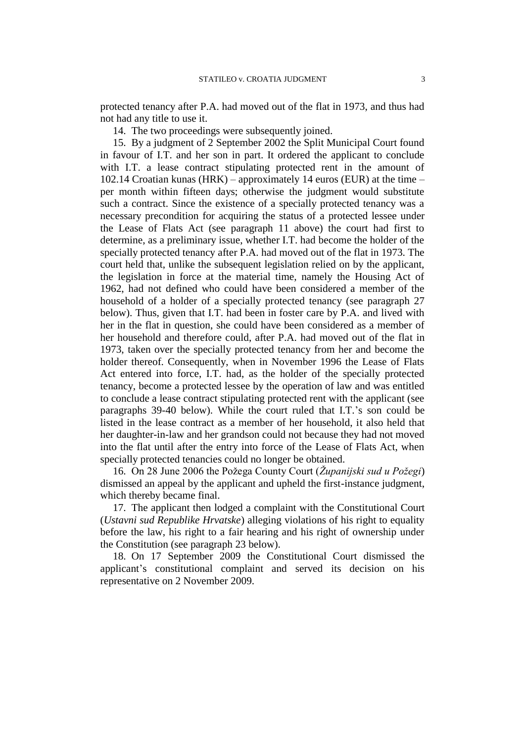protected tenancy after P.A. had moved out of the flat in 1973, and thus had not had any title to use it.

14. The two proceedings were subsequently joined.

15. By a judgment of 2 September 2002 the Split Municipal Court found in favour of I.T. and her son in part. It ordered the applicant to conclude with I.T. a lease contract stipulating protected rent in the amount of 102.14 Croatian kunas (HRK) – approximately 14 euros (EUR) at the time – per month within fifteen days; otherwise the judgment would substitute such a contract. Since the existence of a specially protected tenancy was a necessary precondition for acquiring the status of a protected lessee under the Lease of Flats Act (see paragraph 11 above) the court had first to determine, as a preliminary issue, whether I.T. had become the holder of the specially protected tenancy after P.A. had moved out of the flat in 1973. The court held that, unlike the subsequent legislation relied on by the applicant, the legislation in force at the material time, namely the Housing Act of 1962, had not defined who could have been considered a member of the household of a holder of a specially protected tenancy (see paragraph 27 below). Thus, given that I.T. had been in foster care by P.A. and lived with her in the flat in question, she could have been considered as a member of her household and therefore could, after P.A. had moved out of the flat in 1973, taken over the specially protected tenancy from her and become the holder thereof. Consequently, when in November 1996 the Lease of Flats Act entered into force, I.T. had, as the holder of the specially protected tenancy, become a protected lessee by the operation of law and was entitled to conclude a lease contract stipulating protected rent with the applicant (see paragraphs 39-40 below). While the court ruled that I.T.'s son could be listed in the lease contract as a member of her household, it also held that her daughter-in-law and her grandson could not because they had not moved into the flat until after the entry into force of the Lease of Flats Act, when specially protected tenancies could no longer be obtained.

16. On 28 June 2006 the Požega County Court (*Županijski sud u Požegi*) dismissed an appeal by the applicant and upheld the first-instance judgment, which thereby became final.

17. The applicant then lodged a complaint with the Constitutional Court (*Ustavni sud Republike Hrvatske*) alleging violations of his right to equality before the law, his right to a fair hearing and his right of ownership under the Constitution (see paragraph 23 below).

18. On 17 September 2009 the Constitutional Court dismissed the applicant's constitutional complaint and served its decision on his representative on 2 November 2009.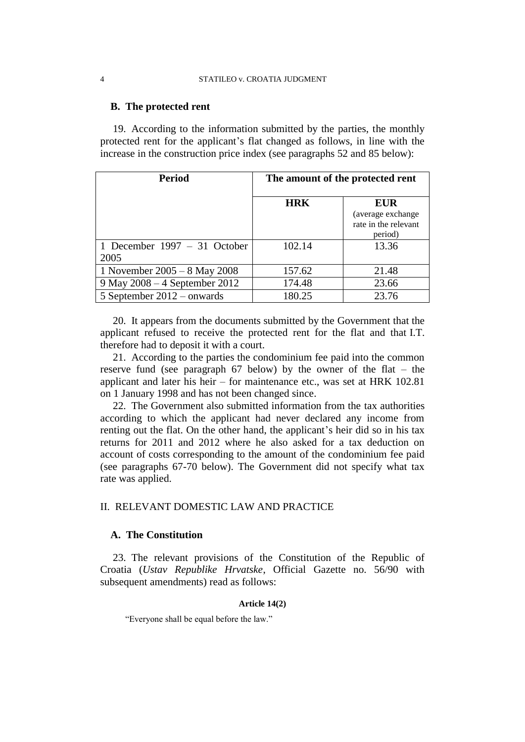## **B. The protected rent**

19. According to the information submitted by the parties, the monthly protected rent for the applicant's flat changed as follows, in line with the increase in the construction price index (see paragraphs 52 and 85 below):

| <b>Period</b>                          | The amount of the protected rent |                                                      |
|----------------------------------------|----------------------------------|------------------------------------------------------|
|                                        | <b>HRK</b>                       | <b>EUR</b>                                           |
|                                        |                                  | (average exchange<br>rate in the relevant<br>period) |
| 1 December 1997 $-$ 31 October<br>2005 | 102.14                           | 13.36                                                |
| 1 November 2005 – 8 May 2008           | 157.62                           | 21.48                                                |
| 9 May 2008 – 4 September 2012          | 174.48                           | 23.66                                                |
| 5 September $2012$ – onwards           | 180.25                           | 23.76                                                |

20. It appears from the documents submitted by the Government that the applicant refused to receive the protected rent for the flat and that I.T. therefore had to deposit it with a court.

21. According to the parties the condominium fee paid into the common reserve fund (see paragraph 67 below) by the owner of the flat – the applicant and later his heir – for maintenance etc., was set at HRK 102.81 on 1 January 1998 and has not been changed since.

22. The Government also submitted information from the tax authorities according to which the applicant had never declared any income from renting out the flat. On the other hand, the applicant's heir did so in his tax returns for 2011 and 2012 where he also asked for a tax deduction on account of costs corresponding to the amount of the condominium fee paid (see paragraphs 67-70 below). The Government did not specify what tax rate was applied.

# II. RELEVANT DOMESTIC LAW AND PRACTICE

## **A. The Constitution**

23. The relevant provisions of the Constitution of the Republic of Croatia (*Ustav Republike Hrvatske*, Official Gazette no. 56/90 with subsequent amendments) read as follows:

### **Article 14(2)**

"Everyone shall be equal before the law."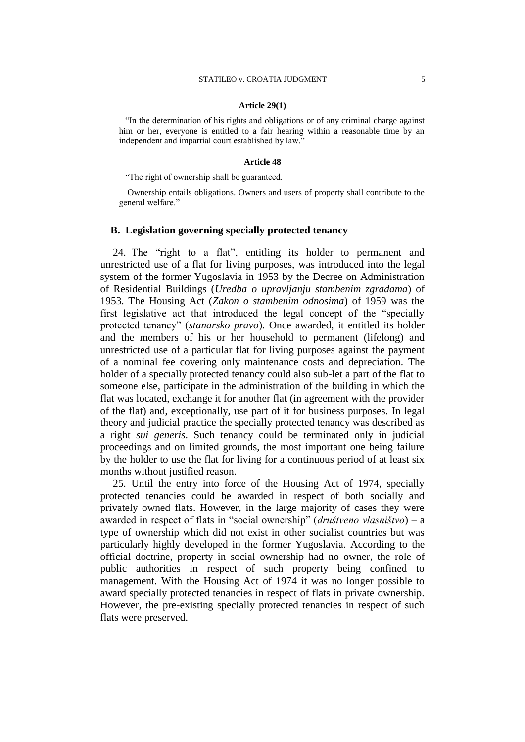#### **Article 29(1)**

"In the determination of his rights and obligations or of any criminal charge against him or her, everyone is entitled to a fair hearing within a reasonable time by an independent and impartial court established by law."

#### **Article 48**

"The right of ownership shall be guaranteed.

Ownership entails obligations. Owners and users of property shall contribute to the general welfare."

## **B. Legislation governing specially protected tenancy**

24. The "right to a flat", entitling its holder to permanent and unrestricted use of a flat for living purposes, was introduced into the legal system of the former Yugoslavia in 1953 by the Decree on Administration of Residential Buildings (*Uredba o upravljanju stambenim zgradama*) of 1953. The Housing Act (*Zakon o stambenim odnosima*) of 1959 was the first legislative act that introduced the legal concept of the "specially protected tenancy" (*stanarsko pravo*). Once awarded, it entitled its holder and the members of his or her household to permanent (lifelong) and unrestricted use of a particular flat for living purposes against the payment of a nominal fee covering only maintenance costs and depreciation. The holder of a specially protected tenancy could also sub-let a part of the flat to someone else, participate in the administration of the building in which the flat was located, exchange it for another flat (in agreement with the provider of the flat) and, exceptionally, use part of it for business purposes. In legal theory and judicial practice the specially protected tenancy was described as a right *sui generis*. Such tenancy could be terminated only in judicial proceedings and on limited grounds, the most important one being failure by the holder to use the flat for living for a continuous period of at least six months without justified reason.

25. Until the entry into force of the Housing Act of 1974, specially protected tenancies could be awarded in respect of both socially and privately owned flats. However, in the large majority of cases they were awarded in respect of flats in "social ownership" (*društveno vlasništvo*) – a type of ownership which did not exist in other socialist countries but was particularly highly developed in the former Yugoslavia. According to the official doctrine, property in social ownership had no owner, the role of public authorities in respect of such property being confined to management. With the Housing Act of 1974 it was no longer possible to award specially protected tenancies in respect of flats in private ownership. However, the pre-existing specially protected tenancies in respect of such flats were preserved.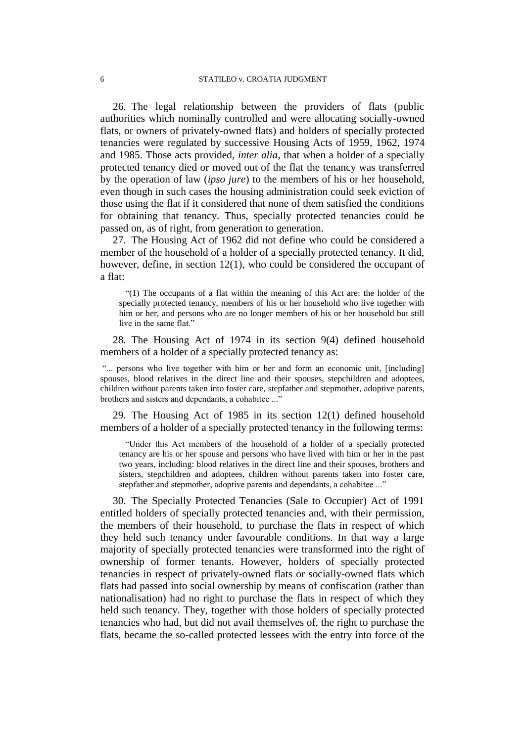26. The legal relationship between the providers of flats (public authorities which nominally controlled and were allocating socially-owned flats, or owners of privately-owned flats) and holders of specially protected tenancies were regulated by successive Housing Acts of 1959, 1962, 1974 and 1985. Those acts provided, *inter alia*, that when a holder of a specially protected tenancy died or moved out of the flat the tenancy was transferred by the operation of law (*ipso jure*) to the members of his or her household, even though in such cases the housing administration could seek eviction of those using the flat if it considered that none of them satisfied the conditions for obtaining that tenancy. Thus, specially protected tenancies could be passed on, as of right, from generation to generation.

27. The Housing Act of 1962 did not define who could be considered a member of the household of a holder of a specially protected tenancy. It did, however, define, in section 12(1), who could be considered the occupant of a flat:

"(1) The occupants of a flat within the meaning of this Act are: the holder of the specially protected tenancy, members of his or her household who live together with him or her, and persons who are no longer members of his or her household but still live in the same flat."

28. The Housing Act of 1974 in its section 9(4) defined household members of a holder of a specially protected tenancy as:

"... persons who live together with him or her and form an economic unit, [including] spouses, blood relatives in the direct line and their spouses, stepchildren and adoptees, children without parents taken into foster care, stepfather and stepmother, adoptive parents, brothers and sisters and dependants, a cohabitee ..."

29. The Housing Act of 1985 in its section 12(1) defined household members of a holder of a specially protected tenancy in the following terms:

"Under this Act members of the household of a holder of a specially protected tenancy are his or her spouse and persons who have lived with him or her in the past two years, including: blood relatives in the direct line and their spouses, brothers and sisters, stepchildren and adoptees, children without parents taken into foster care, stepfather and stepmother, adoptive parents and dependants, a cohabitee ..."

30. The Specially Protected Tenancies (Sale to Occupier) Act of 1991 entitled holders of specially protected tenancies and, with their permission, the members of their household, to purchase the flats in respect of which they held such tenancy under favourable conditions. In that way a large majority of specially protected tenancies were transformed into the right of ownership of former tenants. However, holders of specially protected tenancies in respect of privately-owned flats or socially-owned flats which flats had passed into social ownership by means of confiscation (rather than nationalisation) had no right to purchase the flats in respect of which they held such tenancy. They, together with those holders of specially protected tenancies who had, but did not avail themselves of, the right to purchase the flats, became the so-called protected lessees with the entry into force of the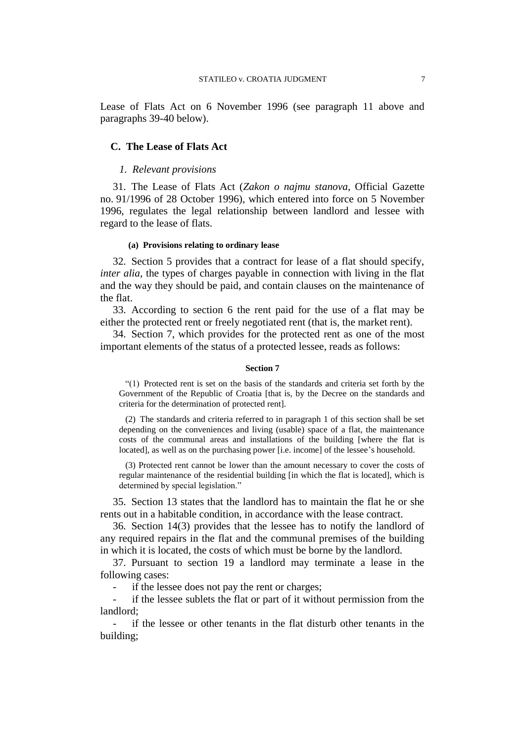Lease of Flats Act on 6 November 1996 (see paragraph 11 above and paragraphs 39-40 below).

## **C. The Lease of Flats Act**

## *1. Relevant provisions*

31. The Lease of Flats Act (*Zakon o najmu stanova*, Official Gazette no. 91/1996 of 28 October 1996), which entered into force on 5 November 1996, regulates the legal relationship between landlord and lessee with regard to the lease of flats.

### **(a) Provisions relating to ordinary lease**

32. Section 5 provides that a contract for lease of a flat should specify, *inter alia*, the types of charges payable in connection with living in the flat and the way they should be paid, and contain clauses on the maintenance of the flat.

33. According to section 6 the rent paid for the use of a flat may be either the protected rent or freely negotiated rent (that is, the market rent).

34. Section 7, which provides for the protected rent as one of the most important elements of the status of a protected lessee, reads as follows:

#### **Section 7**

"(1) Protected rent is set on the basis of the standards and criteria set forth by the Government of the Republic of Croatia [that is, by the Decree on the standards and criteria for the determination of protected rent].

(2) The standards and criteria referred to in paragraph 1 of this section shall be set depending on the conveniences and living (usable) space of a flat, the maintenance costs of the communal areas and installations of the building [where the flat is located], as well as on the purchasing power [i.e. income] of the lessee's household.

(3) Protected rent cannot be lower than the amount necessary to cover the costs of regular maintenance of the residential building [in which the flat is located], which is determined by special legislation."

35. Section 13 states that the landlord has to maintain the flat he or she rents out in a habitable condition, in accordance with the lease contract.

36. Section 14(3) provides that the lessee has to notify the landlord of any required repairs in the flat and the communal premises of the building in which it is located, the costs of which must be borne by the landlord.

37. Pursuant to section 19 a landlord may terminate a lease in the following cases:

if the lessee does not pay the rent or charges;

- if the lessee sublets the flat or part of it without permission from the landlord;

if the lessee or other tenants in the flat disturb other tenants in the building;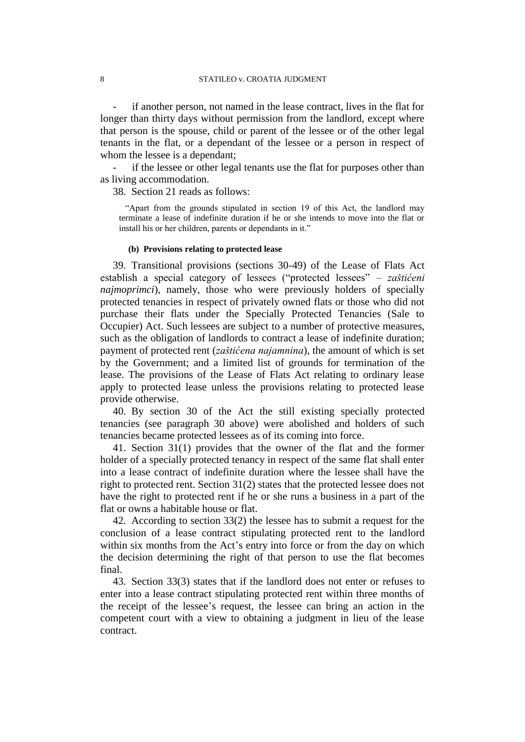if another person, not named in the lease contract, lives in the flat for longer than thirty days without permission from the landlord, except where that person is the spouse, child or parent of the lessee or of the other legal tenants in the flat, or a dependant of the lessee or a person in respect of whom the lessee is a dependant;

if the lessee or other legal tenants use the flat for purposes other than as living accommodation.

38. Section 21 reads as follows:

"Apart from the grounds stipulated in section 19 of this Act, the landlord may terminate a lease of indefinite duration if he or she intends to move into the flat or install his or her children, parents or dependants in it."

### **(b) Provisions relating to protected lease**

39. Transitional provisions (sections 30-49) of the Lease of Flats Act establish a special category of lessees ("protected lessees" – *zaštićeni najmoprimci*), namely, those who were previously holders of specially protected tenancies in respect of privately owned flats or those who did not purchase their flats under the Specially Protected Tenancies (Sale to Occupier) Act. Such lessees are subject to a number of protective measures, such as the obligation of landlords to contract a lease of indefinite duration; payment of protected rent (*zaštićena najamnina*), the amount of which is set by the Government; and a limited list of grounds for termination of the lease. The provisions of the Lease of Flats Act relating to ordinary lease apply to protected lease unless the provisions relating to protected lease provide otherwise.

40. By section 30 of the Act the still existing specially protected tenancies (see paragraph 30 above) were abolished and holders of such tenancies became protected lessees as of its coming into force.

41. Section 31(1) provides that the owner of the flat and the former holder of a specially protected tenancy in respect of the same flat shall enter into a lease contract of indefinite duration where the lessee shall have the right to protected rent. Section 31(2) states that the protected lessee does not have the right to protected rent if he or she runs a business in a part of the flat or owns a habitable house or flat.

42. According to section 33(2) the lessee has to submit a request for the conclusion of a lease contract stipulating protected rent to the landlord within six months from the Act's entry into force or from the day on which the decision determining the right of that person to use the flat becomes final.

43. Section 33(3) states that if the landlord does not enter or refuses to enter into a lease contract stipulating protected rent within three months of the receipt of the lessee's request, the lessee can bring an action in the competent court with a view to obtaining a judgment in lieu of the lease contract.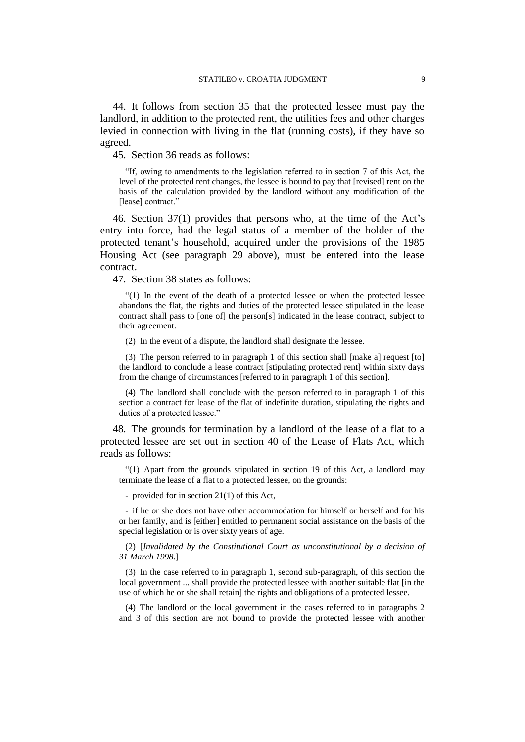44. It follows from section 35 that the protected lessee must pay the landlord, in addition to the protected rent, the utilities fees and other charges levied in connection with living in the flat (running costs), if they have so agreed.

45. Section 36 reads as follows:

"If, owing to amendments to the legislation referred to in section 7 of this Act, the level of the protected rent changes, the lessee is bound to pay that [revised] rent on the basis of the calculation provided by the landlord without any modification of the [lease] contract."

46. Section 37(1) provides that persons who, at the time of the Act's entry into force, had the legal status of a member of the holder of the protected tenant's household, acquired under the provisions of the 1985 Housing Act (see paragraph 29 above), must be entered into the lease contract.

47. Section 38 states as follows:

"(1) In the event of the death of a protected lessee or when the protected lessee abandons the flat, the rights and duties of the protected lessee stipulated in the lease contract shall pass to [one of] the person[s] indicated in the lease contract, subject to their agreement.

(2) In the event of a dispute, the landlord shall designate the lessee.

(3) The person referred to in paragraph 1 of this section shall [make a] request [to] the landlord to conclude a lease contract [stipulating protected rent] within sixty days from the change of circumstances [referred to in paragraph 1 of this section].

(4) The landlord shall conclude with the person referred to in paragraph 1 of this section a contract for lease of the flat of indefinite duration, stipulating the rights and duties of a protected lessee."

48. The grounds for termination by a landlord of the lease of a flat to a protected lessee are set out in section 40 of the Lease of Flats Act, which reads as follows:

"(1) Apart from the grounds stipulated in section 19 of this Act, a landlord may terminate the lease of a flat to a protected lessee, on the grounds:

- provided for in section 21(1) of this Act,

- if he or she does not have other accommodation for himself or herself and for his or her family, and is [either] entitled to permanent social assistance on the basis of the special legislation or is over sixty years of age.

(2) [*Invalidated by the Constitutional Court as unconstitutional by a decision of 31 March 1998.*]

(3) In the case referred to in paragraph 1, second sub-paragraph, of this section the local government ... shall provide the protected lessee with another suitable flat [in the use of which he or she shall retain] the rights and obligations of a protected lessee.

(4) The landlord or the local government in the cases referred to in paragraphs 2 and 3 of this section are not bound to provide the protected lessee with another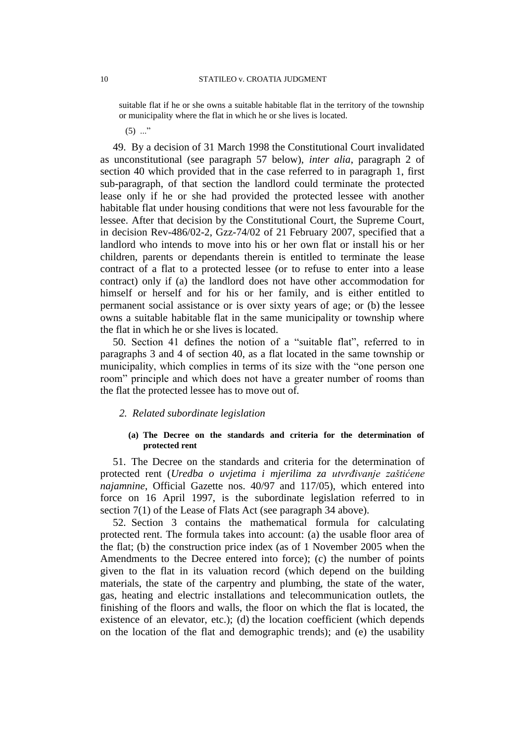suitable flat if he or she owns a suitable habitable flat in the territory of the township or municipality where the flat in which he or she lives is located.

 $(5)$  ..."

49. By a decision of 31 March 1998 the Constitutional Court invalidated as unconstitutional (see paragraph 57 below), *inter alia*, paragraph 2 of section 40 which provided that in the case referred to in paragraph 1, first sub-paragraph, of that section the landlord could terminate the protected lease only if he or she had provided the protected lessee with another habitable flat under housing conditions that were not less favourable for the lessee. After that decision by the Constitutional Court, the Supreme Court, in decision Rev-486/02-2, Gzz-74/02 of 21 February 2007, specified that a landlord who intends to move into his or her own flat or install his or her children, parents or dependants therein is entitled to terminate the lease contract of a flat to a protected lessee (or to refuse to enter into a lease contract) only if (a) the landlord does not have other accommodation for himself or herself and for his or her family, and is either entitled to permanent social assistance or is over sixty years of age; or (b) the lessee owns a suitable habitable flat in the same municipality or township where the flat in which he or she lives is located.

50. Section 41 defines the notion of a "suitable flat", referred to in paragraphs 3 and 4 of section 40, as a flat located in the same township or municipality, which complies in terms of its size with the "one person one room" principle and which does not have a greater number of rooms than the flat the protected lessee has to move out of.

## *2. Related subordinate legislation*

### **(a) The Decree on the standards and criteria for the determination of protected rent**

51. The Decree on the standards and criteria for the determination of protected rent (*Uredba o uvjetima i mjerilima za utvrđivanje zaštićene najamnine*, Official Gazette nos. 40/97 and 117/05), which entered into force on 16 April 1997, is the subordinate legislation referred to in section 7(1) of the Lease of Flats Act (see paragraph 34 above).

52. Section 3 contains the mathematical formula for calculating protected rent. The formula takes into account: (a) the usable floor area of the flat; (b) the construction price index (as of 1 November 2005 when the Amendments to the Decree entered into force); (c) the number of points given to the flat in its valuation record (which depend on the building materials, the state of the carpentry and plumbing, the state of the water, gas, heating and electric installations and telecommunication outlets, the finishing of the floors and walls, the floor on which the flat is located, the existence of an elevator, etc.); (d) the location coefficient (which depends on the location of the flat and demographic trends); and (e) the usability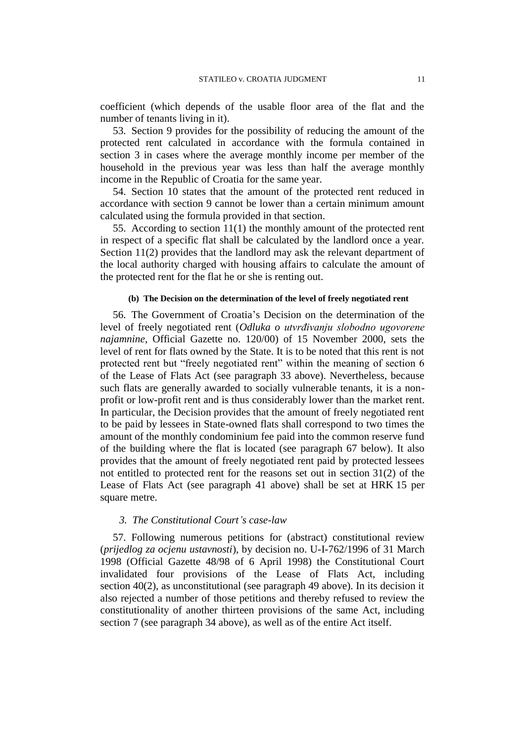coefficient (which depends of the usable floor area of the flat and the number of tenants living in it).

53. Section 9 provides for the possibility of reducing the amount of the protected rent calculated in accordance with the formula contained in section 3 in cases where the average monthly income per member of the household in the previous year was less than half the average monthly income in the Republic of Croatia for the same year.

54. Section 10 states that the amount of the protected rent reduced in accordance with section 9 cannot be lower than a certain minimum amount calculated using the formula provided in that section.

55. According to section 11(1) the monthly amount of the protected rent in respect of a specific flat shall be calculated by the landlord once a year. Section 11(2) provides that the landlord may ask the relevant department of the local authority charged with housing affairs to calculate the amount of the protected rent for the flat he or she is renting out.

### **(b) The Decision on the determination of the level of freely negotiated rent**

56. The Government of Croatia's Decision on the determination of the level of freely negotiated rent (*Odluka o utvrđivanju slobodno ugovorene najamnine*, Official Gazette no. 120/00) of 15 November 2000, sets the level of rent for flats owned by the State. It is to be noted that this rent is not protected rent but "freely negotiated rent" within the meaning of section 6 of the Lease of Flats Act (see paragraph 33 above). Nevertheless, because such flats are generally awarded to socially vulnerable tenants, it is a nonprofit or low-profit rent and is thus considerably lower than the market rent. In particular, the Decision provides that the amount of freely negotiated rent to be paid by lessees in State-owned flats shall correspond to two times the amount of the monthly condominium fee paid into the common reserve fund of the building where the flat is located (see paragraph 67 below). It also provides that the amount of freely negotiated rent paid by protected lessees not entitled to protected rent for the reasons set out in section 31(2) of the Lease of Flats Act (see paragraph 41 above) shall be set at HRK 15 per square metre.

## *3. The Constitutional Court's case-law*

57. Following numerous petitions for (abstract) constitutional review (*prijedlog za ocjenu ustavnosti*), by decision no. U-I-762/1996 of 31 March 1998 (Official Gazette 48/98 of 6 April 1998) the Constitutional Court invalidated four provisions of the Lease of Flats Act, including section 40(2), as unconstitutional (see paragraph 49 above). In its decision it also rejected a number of those petitions and thereby refused to review the constitutionality of another thirteen provisions of the same Act, including section 7 (see paragraph 34 above), as well as of the entire Act itself.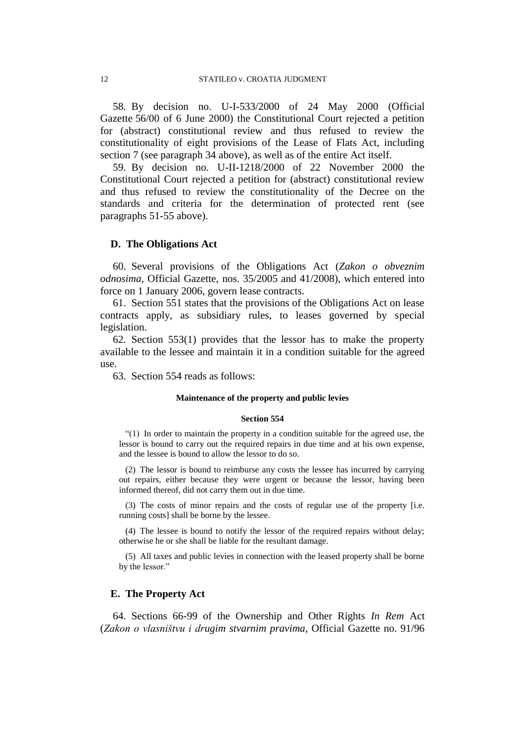58. By decision no. U-I-533/2000 of 24 May 2000 (Official Gazette 56/00 of 6 June 2000) the Constitutional Court rejected a petition for (abstract) constitutional review and thus refused to review the constitutionality of eight provisions of the Lease of Flats Act, including section 7 (see paragraph 34 above), as well as of the entire Act itself.

59. By decision no. U-II-1218/2000 of 22 November 2000 the Constitutional Court rejected a petition for (abstract) constitutional review and thus refused to review the constitutionality of the Decree on the standards and criteria for the determination of protected rent (see paragraphs 51-55 above).

### **D. The Obligations Act**

60. Several provisions of the Obligations Act (*Zakon o obveznim odnosima*, Official Gazette, nos. 35/2005 and 41/2008), which entered into force on 1 January 2006, govern lease contracts.

61. Section 551 states that the provisions of the Obligations Act on lease contracts apply, as subsidiary rules, to leases governed by special legislation.

62. Section 553(1) provides that the lessor has to make the property available to the lessee and maintain it in a condition suitable for the agreed use.

63. Section 554 reads as follows:

#### **Maintenance of the property and public levies**

### **Section 554**

"(1) In order to maintain the property in a condition suitable for the agreed use, the lessor is bound to carry out the required repairs in due time and at his own expense, and the lessee is bound to allow the lessor to do so.

(2) The lessor is bound to reimburse any costs the lessee has incurred by carrying out repairs, either because they were urgent or because the lessor, having been informed thereof, did not carry them out in due time.

(3) The costs of minor repairs and the costs of regular use of the property [i.e. running costs] shall be borne by the lessee.

(4) The lessee is bound to notify the lessor of the required repairs without delay; otherwise he or she shall be liable for the resultant damage.

(5) All taxes and public levies in connection with the leased property shall be borne by the lessor."

## **E. The Property Act**

64. Sections 66-99 of the Ownership and Other Rights *In Rem* Act (*Zakon o vlasništvu i drugim stvarnim pravima*, Official Gazette no. 91/96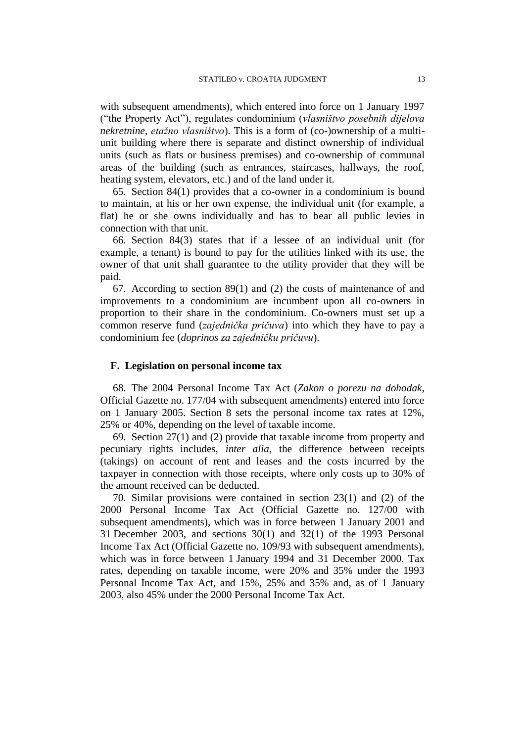with subsequent amendments), which entered into force on 1 January 1997 ("the Property Act"), regulates condominium (*vlasništvo posebnih dijelova nekretnine*, *etažno vlasništvo*). This is a form of (co-)ownership of a multiunit building where there is separate and distinct ownership of individual units (such as flats or business premises) and co-ownership of communal areas of the building (such as entrances, staircases, hallways, the roof, heating system, elevators, etc.) and of the land under it.

65. Section 84(1) provides that a co-owner in a condominium is bound to maintain, at his or her own expense, the individual unit (for example, a flat) he or she owns individually and has to bear all public levies in connection with that unit.

66. Section 84(3) states that if a lessee of an individual unit (for example, a tenant) is bound to pay for the utilities linked with its use, the owner of that unit shall guarantee to the utility provider that they will be paid.

67. According to section 89(1) and (2) the costs of maintenance of and improvements to a condominium are incumbent upon all co-owners in proportion to their share in the condominium. Co-owners must set up a common reserve fund (*zajednička pričuva*) into which they have to pay a condominium fee (*doprinos za zajedničku pričuvu*).

### **F. Legislation on personal income tax**

68. The 2004 Personal Income Tax Act (*Zakon o porezu na dohodak*, Official Gazette no. 177/04 with subsequent amendments) entered into force on 1 January 2005. Section 8 sets the personal income tax rates at 12%, 25% or 40%, depending on the level of taxable income.

69. Section 27(1) and (2) provide that taxable income from property and pecuniary rights includes, *inter alia*, the difference between receipts (takings) on account of rent and leases and the costs incurred by the taxpayer in connection with those receipts, where only costs up to 30% of the amount received can be deducted.

70. Similar provisions were contained in section 23(1) and (2) of the 2000 Personal Income Tax Act (Official Gazette no. 127/00 with subsequent amendments), which was in force between 1 January 2001 and 31 December 2003, and sections 30(1) and 32(1) of the 1993 Personal Income Tax Act (Official Gazette no. 109/93 with subsequent amendments), which was in force between 1 January 1994 and 31 December 2000. Tax rates, depending on taxable income, were 20% and 35% under the 1993 Personal Income Tax Act, and 15%, 25% and 35% and, as of 1 January 2003, also 45% under the 2000 Personal Income Tax Act.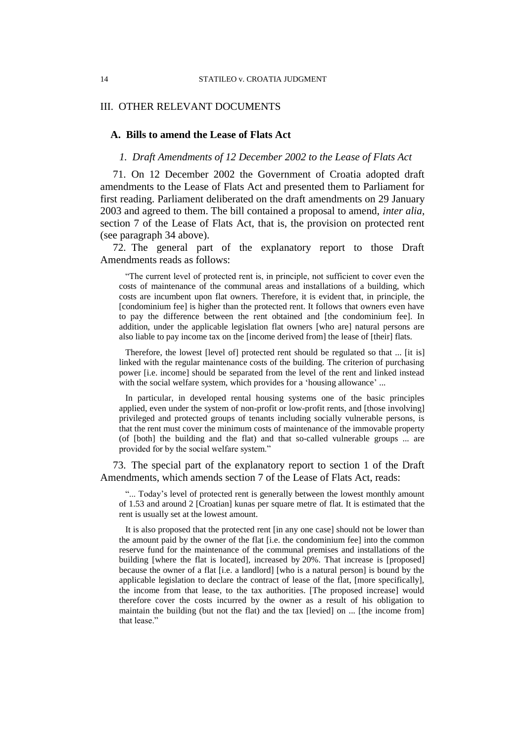## III. OTHER RELEVANT DOCUMENTS

### **A. Bills to amend the Lease of Flats Act**

### *1. Draft Amendments of 12 December 2002 to the Lease of Flats Act*

71. On 12 December 2002 the Government of Croatia adopted draft amendments to the Lease of Flats Act and presented them to Parliament for first reading. Parliament deliberated on the draft amendments on 29 January 2003 and agreed to them. The bill contained a proposal to amend, *inter alia*, section 7 of the Lease of Flats Act, that is, the provision on protected rent (see paragraph 34 above).

72. The general part of the explanatory report to those Draft Amendments reads as follows:

"The current level of protected rent is, in principle, not sufficient to cover even the costs of maintenance of the communal areas and installations of a building, which costs are incumbent upon flat owners. Therefore, it is evident that, in principle, the [condominium fee] is higher than the protected rent. It follows that owners even have to pay the difference between the rent obtained and [the condominium fee]. In addition, under the applicable legislation flat owners [who are] natural persons are also liable to pay income tax on the [income derived from] the lease of [their] flats.

Therefore, the lowest [level of] protected rent should be regulated so that ... [it is] linked with the regular maintenance costs of the building. The criterion of purchasing power [i.e. income] should be separated from the level of the rent and linked instead with the social welfare system, which provides for a 'housing allowance' ...

In particular, in developed rental housing systems one of the basic principles applied, even under the system of non-profit or low-profit rents, and [those involving] privileged and protected groups of tenants including socially vulnerable persons, is that the rent must cover the minimum costs of maintenance of the immovable property (of [both] the building and the flat) and that so-called vulnerable groups ... are provided for by the social welfare system."

73. The special part of the explanatory report to section 1 of the Draft Amendments, which amends section 7 of the Lease of Flats Act, reads:

"... Today's level of protected rent is generally between the lowest monthly amount of 1.53 and around 2 [Croatian] kunas per square metre of flat. It is estimated that the rent is usually set at the lowest amount.

It is also proposed that the protected rent [in any one case] should not be lower than the amount paid by the owner of the flat [i.e. the condominium fee] into the common reserve fund for the maintenance of the communal premises and installations of the building [where the flat is located], increased by 20%. That increase is [proposed] because the owner of a flat [i.e. a landlord] [who is a natural person] is bound by the applicable legislation to declare the contract of lease of the flat, [more specifically], the income from that lease, to the tax authorities. [The proposed increase] would therefore cover the costs incurred by the owner as a result of his obligation to maintain the building (but not the flat) and the tax [levied] on ... [the income from] that lease."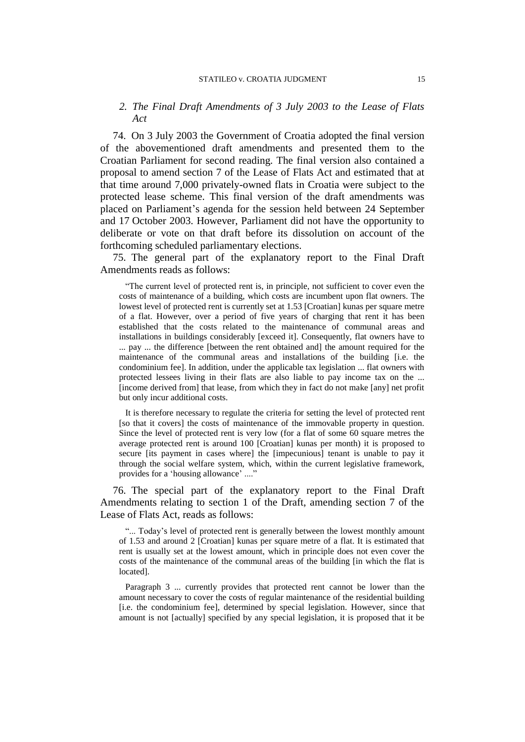## *2. The Final Draft Amendments of 3 July 2003 to the Lease of Flats Act*

74. On 3 July 2003 the Government of Croatia adopted the final version of the abovementioned draft amendments and presented them to the Croatian Parliament for second reading. The final version also contained a proposal to amend section 7 of the Lease of Flats Act and estimated that at that time around 7,000 privately-owned flats in Croatia were subject to the protected lease scheme. This final version of the draft amendments was placed on Parliament's agenda for the session held between 24 September and 17 October 2003. However, Parliament did not have the opportunity to deliberate or vote on that draft before its dissolution on account of the forthcoming scheduled parliamentary elections.

75. The general part of the explanatory report to the Final Draft Amendments reads as follows:

"The current level of protected rent is, in principle, not sufficient to cover even the costs of maintenance of a building, which costs are incumbent upon flat owners. The lowest level of protected rent is currently set at 1.53 [Croatian] kunas per square metre of a flat. However, over a period of five years of charging that rent it has been established that the costs related to the maintenance of communal areas and installations in buildings considerably [exceed it]. Consequently, flat owners have to ... pay ... the difference [between the rent obtained and] the amount required for the maintenance of the communal areas and installations of the building [i.e. the condominium fee]. In addition, under the applicable tax legislation ... flat owners with protected lessees living in their flats are also liable to pay income tax on the ... [income derived from] that lease, from which they in fact do not make [any] net profit but only incur additional costs.

It is therefore necessary to regulate the criteria for setting the level of protected rent [so that it covers] the costs of maintenance of the immovable property in question. Since the level of protected rent is very low (for a flat of some 60 square metres the average protected rent is around 100 [Croatian] kunas per month) it is proposed to secure [its payment in cases where] the [impecunious] tenant is unable to pay it through the social welfare system, which, within the current legislative framework, provides for a 'housing allowance' ...."

76. The special part of the explanatory report to the Final Draft Amendments relating to section 1 of the Draft, amending section 7 of the Lease of Flats Act, reads as follows:

"... Today's level of protected rent is generally between the lowest monthly amount of 1.53 and around 2 [Croatian] kunas per square metre of a flat. It is estimated that rent is usually set at the lowest amount, which in principle does not even cover the costs of the maintenance of the communal areas of the building [in which the flat is located].

Paragraph 3 ... currently provides that protected rent cannot be lower than the amount necessary to cover the costs of regular maintenance of the residential building [i.e. the condominium fee], determined by special legislation. However, since that amount is not [actually] specified by any special legislation, it is proposed that it be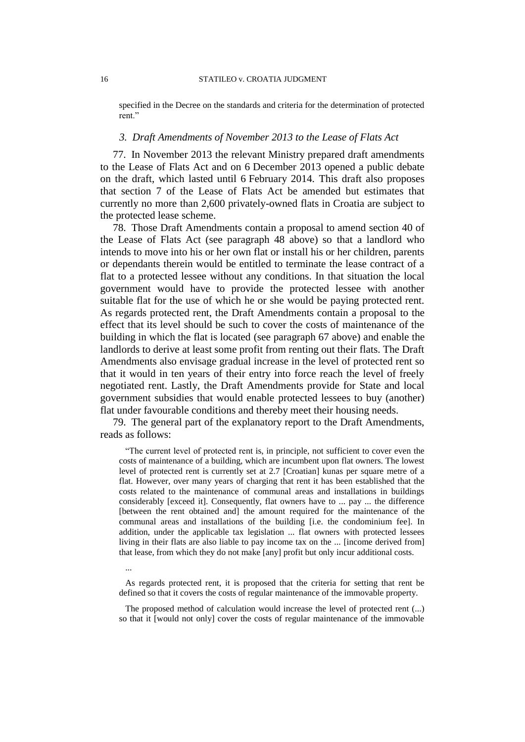specified in the Decree on the standards and criteria for the determination of protected rent."

## *3. Draft Amendments of November 2013 to the Lease of Flats Act*

77. In November 2013 the relevant Ministry prepared draft amendments to the Lease of Flats Act and on 6 December 2013 opened a public debate on the draft, which lasted until 6 February 2014. This draft also proposes that section 7 of the Lease of Flats Act be amended but estimates that currently no more than 2,600 privately-owned flats in Croatia are subject to the protected lease scheme.

78. Those Draft Amendments contain a proposal to amend section 40 of the Lease of Flats Act (see paragraph 48 above) so that a landlord who intends to move into his or her own flat or install his or her children, parents or dependants therein would be entitled to terminate the lease contract of a flat to a protected lessee without any conditions. In that situation the local government would have to provide the protected lessee with another suitable flat for the use of which he or she would be paying protected rent. As regards protected rent, the Draft Amendments contain a proposal to the effect that its level should be such to cover the costs of maintenance of the building in which the flat is located (see paragraph 67 above) and enable the landlords to derive at least some profit from renting out their flats. The Draft Amendments also envisage gradual increase in the level of protected rent so that it would in ten years of their entry into force reach the level of freely negotiated rent. Lastly, the Draft Amendments provide for State and local government subsidies that would enable protected lessees to buy (another) flat under favourable conditions and thereby meet their housing needs.

79. The general part of the explanatory report to the Draft Amendments, reads as follows:

"The current level of protected rent is, in principle, not sufficient to cover even the costs of maintenance of a building, which are incumbent upon flat owners. The lowest level of protected rent is currently set at 2.7 [Croatian] kunas per square metre of a flat. However, over many years of charging that rent it has been established that the costs related to the maintenance of communal areas and installations in buildings considerably [exceed it]. Consequently, flat owners have to ... pay ... the difference [between the rent obtained and] the amount required for the maintenance of the communal areas and installations of the building [i.e. the condominium fee]. In addition, under the applicable tax legislation ... flat owners with protected lessees living in their flats are also liable to pay income tax on the ... [income derived from] that lease, from which they do not make [any] profit but only incur additional costs.

As regards protected rent, it is proposed that the criteria for setting that rent be defined so that it covers the costs of regular maintenance of the immovable property.

The proposed method of calculation would increase the level of protected rent (...) so that it [would not only] cover the costs of regular maintenance of the immovable

...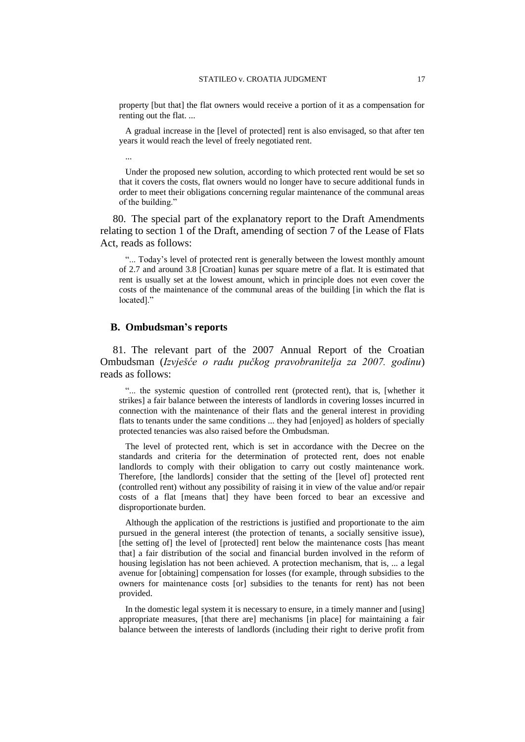property [but that] the flat owners would receive a portion of it as a compensation for renting out the flat. ...

A gradual increase in the [level of protected] rent is also envisaged, so that after ten years it would reach the level of freely negotiated rent.

...

Under the proposed new solution, according to which protected rent would be set so that it covers the costs, flat owners would no longer have to secure additional funds in order to meet their obligations concerning regular maintenance of the communal areas of the building."

80. The special part of the explanatory report to the Draft Amendments relating to section 1 of the Draft, amending of section 7 of the Lease of Flats Act, reads as follows:

"... Today's level of protected rent is generally between the lowest monthly amount of 2.7 and around 3.8 [Croatian] kunas per square metre of a flat. It is estimated that rent is usually set at the lowest amount, which in principle does not even cover the costs of the maintenance of the communal areas of the building [in which the flat is located]."

## **B. Ombudsman's reports**

81. The relevant part of the 2007 Annual Report of the Croatian Ombudsman (*Izvješće o radu pučkog pravobranitelja za 2007. godinu*) reads as follows:

"... the systemic question of controlled rent (protected rent), that is, [whether it strikes] a fair balance between the interests of landlords in covering losses incurred in connection with the maintenance of their flats and the general interest in providing flats to tenants under the same conditions ... they had [enjoyed] as holders of specially protected tenancies was also raised before the Ombudsman.

The level of protected rent, which is set in accordance with the Decree on the standards and criteria for the determination of protected rent, does not enable landlords to comply with their obligation to carry out costly maintenance work. Therefore, [the landlords] consider that the setting of the [level of] protected rent (controlled rent) without any possibility of raising it in view of the value and/or repair costs of a flat [means that] they have been forced to bear an excessive and disproportionate burden.

Although the application of the restrictions is justified and proportionate to the aim pursued in the general interest (the protection of tenants, a socially sensitive issue), [the setting of] the level of [protected] rent below the maintenance costs [has meant that] a fair distribution of the social and financial burden involved in the reform of housing legislation has not been achieved. A protection mechanism, that is, ... a legal avenue for [obtaining] compensation for losses (for example, through subsidies to the owners for maintenance costs [or] subsidies to the tenants for rent) has not been provided.

In the domestic legal system it is necessary to ensure, in a timely manner and [using] appropriate measures, [that there are] mechanisms [in place] for maintaining a fair balance between the interests of landlords (including their right to derive profit from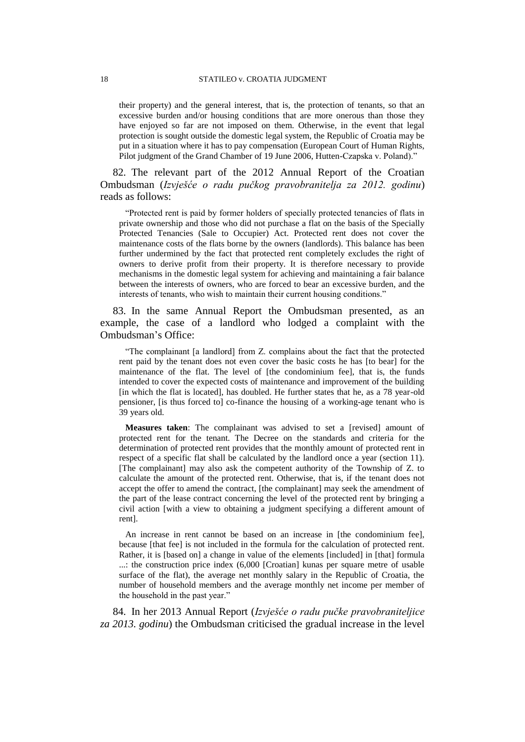their property) and the general interest, that is, the protection of tenants, so that an excessive burden and/or housing conditions that are more onerous than those they have enjoyed so far are not imposed on them. Otherwise, in the event that legal protection is sought outside the domestic legal system, the Republic of Croatia may be put in a situation where it has to pay compensation (European Court of Human Rights, Pilot judgment of the Grand Chamber of 19 June 2006, Hutten-Czapska v. Poland)."

82. The relevant part of the 2012 Annual Report of the Croatian Ombudsman (*Izvješće o radu pučkog pravobranitelja za 2012. godinu*) reads as follows:

"Protected rent is paid by former holders of specially protected tenancies of flats in private ownership and those who did not purchase a flat on the basis of the Specially Protected Tenancies (Sale to Occupier) Act. Protected rent does not cover the maintenance costs of the flats borne by the owners (landlords). This balance has been further undermined by the fact that protected rent completely excludes the right of owners to derive profit from their property. It is therefore necessary to provide mechanisms in the domestic legal system for achieving and maintaining a fair balance between the interests of owners, who are forced to bear an excessive burden, and the interests of tenants, who wish to maintain their current housing conditions."

83. In the same Annual Report the Ombudsman presented, as an example, the case of a landlord who lodged a complaint with the Ombudsman's Office:

"The complainant [a landlord] from Z. complains about the fact that the protected rent paid by the tenant does not even cover the basic costs he has [to bear] for the maintenance of the flat. The level of [the condominium fee], that is, the funds intended to cover the expected costs of maintenance and improvement of the building [in which the flat is located], has doubled. He further states that he, as a 78 year-old pensioner, [is thus forced to] co-finance the housing of a working-age tenant who is 39 years old.

**Measures taken**: The complainant was advised to set a [revised] amount of protected rent for the tenant. The Decree on the standards and criteria for the determination of protected rent provides that the monthly amount of protected rent in respect of a specific flat shall be calculated by the landlord once a year (section 11). [The complainant] may also ask the competent authority of the Township of Z. to calculate the amount of the protected rent. Otherwise, that is, if the tenant does not accept the offer to amend the contract, [the complainant] may seek the amendment of the part of the lease contract concerning the level of the protected rent by bringing a civil action [with a view to obtaining a judgment specifying a different amount of rent].

An increase in rent cannot be based on an increase in [the condominium fee], because [that fee] is not included in the formula for the calculation of protected rent. Rather, it is [based on] a change in value of the elements [included] in [that] formula ...: the construction price index (6,000 [Croatian] kunas per square metre of usable surface of the flat), the average net monthly salary in the Republic of Croatia, the number of household members and the average monthly net income per member of the household in the past year."

84. In her 2013 Annual Report (*Izvješće o radu pučke pravobraniteljice za 2013. godinu*) the Ombudsman criticised the gradual increase in the level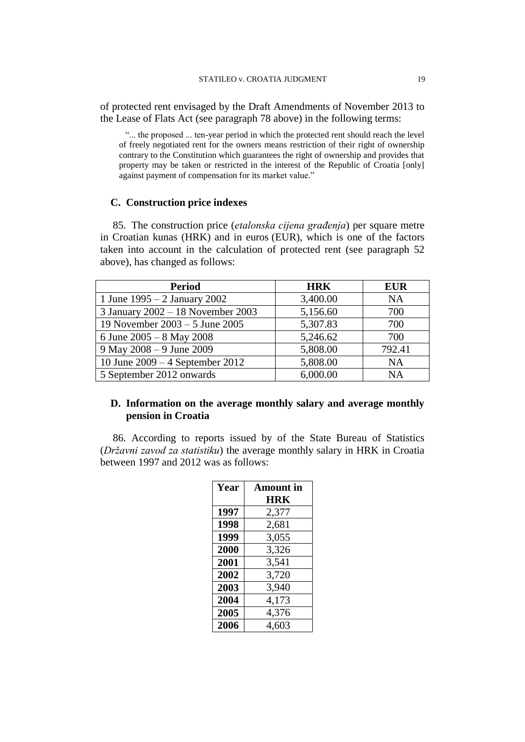of protected rent envisaged by the Draft Amendments of November 2013 to the Lease of Flats Act (see paragraph 78 above) in the following terms:

"... the proposed ... ten-year period in which the protected rent should reach the level of freely negotiated rent for the owners means restriction of their right of ownership contrary to the Constitution which guarantees the right of ownership and provides that property may be taken or restricted in the interest of the Republic of Croatia [only] against payment of compensation for its market value."

## **C. Construction price indexes**

85. The construction price (*etalonska cijena građenja*) per square metre in Croatian kunas (HRK) and in euros (EUR), which is one of the factors taken into account in the calculation of protected rent (see paragraph 52 above), has changed as follows:

| <b>Period</b>                     | <b>HRK</b> | <b>EUR</b> |
|-----------------------------------|------------|------------|
| 1 June $1995 - 2$ January 2002    | 3,400.00   | <b>NA</b>  |
| 3 January 2002 - 18 November 2003 | 5,156.60   | 700        |
| 19 November $2003 - 5$ June 2005  | 5,307.83   | 700        |
| 6 June $2005 - 8$ May 2008        | 5,246.62   | 700        |
| 9 May 2008 - 9 June 2009          | 5,808.00   | 792.41     |
| 10 June $2009 - 4$ September 2012 | 5,808.00   | <b>NA</b>  |
| 5 September 2012 onwards          | 6,000.00   | <b>NA</b>  |

## **D. Information on the average monthly salary and average monthly pension in Croatia**

86. According to reports issued by of the State Bureau of Statistics (*Državni zavod za statistiku*) the average monthly salary in HRK in Croatia between 1997 and 2012 was as follows:

| Year | Amount in  |  |
|------|------------|--|
|      | <b>HRK</b> |  |
| 1997 | 2,377      |  |
| 1998 | 2,681      |  |
| 1999 | 3,055      |  |
| 2000 | 3,326      |  |
| 2001 | 3,541      |  |
| 2002 | 3,720      |  |
| 2003 | 3,940      |  |
| 2004 | 4,173      |  |
| 2005 | 4,376      |  |
| 2006 | 4,603      |  |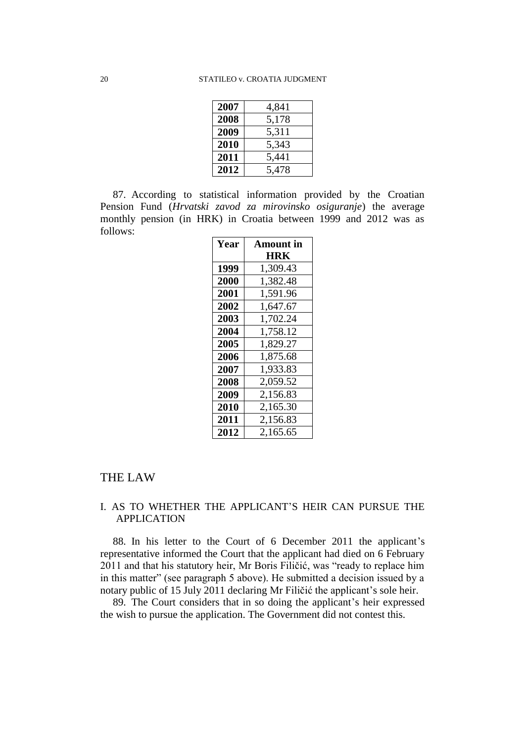| 2007 | 4,841 |
|------|-------|
| 2008 | 5,178 |
| 2009 | 5,311 |
| 2010 | 5,343 |
| 2011 | 5,441 |
| 2012 | 5,478 |

87. According to statistical information provided by the Croatian Pension Fund (*Hrvatski zavod za mirovinsko osiguranje*) the average monthly pension (in HRK) in Croatia between 1999 and 2012 was as follows:

| Year | <b>Amount</b> in |  |
|------|------------------|--|
|      | HRK              |  |
| 1999 | 1,309.43         |  |
| 2000 | 1,382.48         |  |
| 2001 | 1,591.96         |  |
| 2002 | 1,647.67         |  |
| 2003 | 1,702.24         |  |
| 2004 | 1,758.12         |  |
| 2005 | 1,829.27         |  |
| 2006 | 1,875.68         |  |
| 2007 | 1,933.83         |  |
| 2008 | 2,059.52         |  |
| 2009 | 2,156.83         |  |
| 2010 | 2,165.30         |  |
| 2011 | 2,156.83         |  |
| 2012 | 2,165.65         |  |

# THE LAW

# I. AS TO WHETHER THE APPLICANT'S HEIR CAN PURSUE THE APPLICATION

88. In his letter to the Court of 6 December 2011 the applicant's representative informed the Court that the applicant had died on 6 February 2011 and that his statutory heir, Mr Boris Filičić, was "ready to replace him in this matter" (see paragraph 5 above). He submitted a decision issued by a notary public of 15 July 2011 declaring Mr Filičić the applicant's sole heir.

89. The Court considers that in so doing the applicant's heir expressed the wish to pursue the application. The Government did not contest this.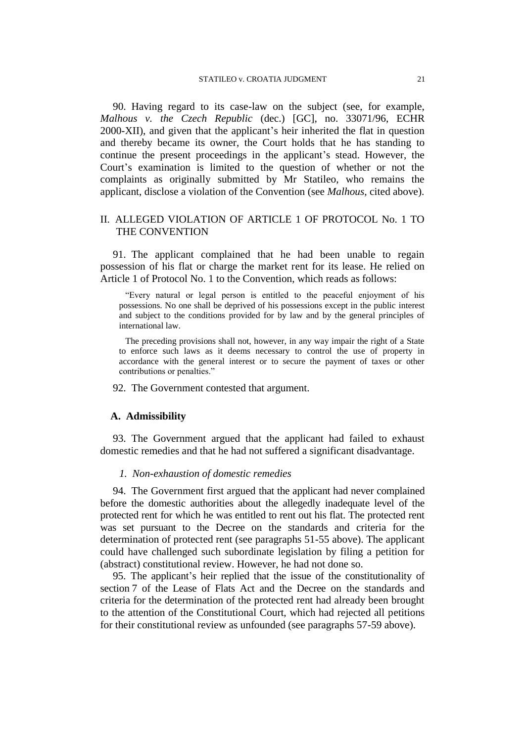90. Having regard to its case-law on the subject (see, for example, *Malhous v. the Czech Republic* (dec.) [GC], no. 33071/96, ECHR 2000-XII), and given that the applicant's heir inherited the flat in question and thereby became its owner, the Court holds that he has standing to continue the present proceedings in the applicant's stead. However, the Court's examination is limited to the question of whether or not the complaints as originally submitted by Mr Statileo, who remains the applicant, disclose a violation of the Convention (see *Malhous*, cited above).

## II. ALLEGED VIOLATION OF ARTICLE 1 OF PROTOCOL No. 1 TO THE CONVENTION

91. The applicant complained that he had been unable to regain possession of his flat or charge the market rent for its lease. He relied on Article 1 of Protocol No. 1 to the Convention, which reads as follows:

"Every natural or legal person is entitled to the peaceful enjoyment of his possessions. No one shall be deprived of his possessions except in the public interest and subject to the conditions provided for by law and by the general principles of international law.

The preceding provisions shall not, however, in any way impair the right of a State to enforce such laws as it deems necessary to control the use of property in accordance with the general interest or to secure the payment of taxes or other contributions or penalties."

92. The Government contested that argument.

## **A. Admissibility**

93. The Government argued that the applicant had failed to exhaust domestic remedies and that he had not suffered a significant disadvantage.

## *1. Non-exhaustion of domestic remedies*

94. The Government first argued that the applicant had never complained before the domestic authorities about the allegedly inadequate level of the protected rent for which he was entitled to rent out his flat. The protected rent was set pursuant to the Decree on the standards and criteria for the determination of protected rent (see paragraphs 51-55 above). The applicant could have challenged such subordinate legislation by filing a petition for (abstract) constitutional review. However, he had not done so.

95. The applicant's heir replied that the issue of the constitutionality of section 7 of the Lease of Flats Act and the Decree on the standards and criteria for the determination of the protected rent had already been brought to the attention of the Constitutional Court, which had rejected all petitions for their constitutional review as unfounded (see paragraphs 57-59 above).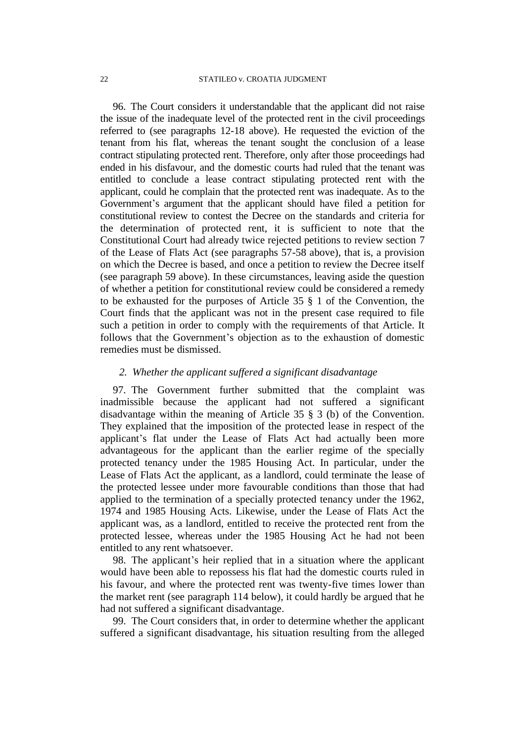96. The Court considers it understandable that the applicant did not raise the issue of the inadequate level of the protected rent in the civil proceedings referred to (see paragraphs 12-18 above). He requested the eviction of the tenant from his flat, whereas the tenant sought the conclusion of a lease contract stipulating protected rent. Therefore, only after those proceedings had ended in his disfavour, and the domestic courts had ruled that the tenant was entitled to conclude a lease contract stipulating protected rent with the applicant, could he complain that the protected rent was inadequate. As to the Government's argument that the applicant should have filed a petition for constitutional review to contest the Decree on the standards and criteria for the determination of protected rent, it is sufficient to note that the Constitutional Court had already twice rejected petitions to review section 7 of the Lease of Flats Act (see paragraphs 57-58 above), that is, a provision on which the Decree is based, and once a petition to review the Decree itself (see paragraph 59 above). In these circumstances, leaving aside the question of whether a petition for constitutional review could be considered a remedy to be exhausted for the purposes of Article 35 § 1 of the Convention, the Court finds that the applicant was not in the present case required to file such a petition in order to comply with the requirements of that Article. It follows that the Government's objection as to the exhaustion of domestic remedies must be dismissed.

## *2. Whether the applicant suffered a significant disadvantage*

97. The Government further submitted that the complaint was inadmissible because the applicant had not suffered a significant disadvantage within the meaning of Article 35 § 3 (b) of the Convention. They explained that the imposition of the protected lease in respect of the applicant's flat under the Lease of Flats Act had actually been more advantageous for the applicant than the earlier regime of the specially protected tenancy under the 1985 Housing Act. In particular, under the Lease of Flats Act the applicant, as a landlord, could terminate the lease of the protected lessee under more favourable conditions than those that had applied to the termination of a specially protected tenancy under the 1962, 1974 and 1985 Housing Acts. Likewise, under the Lease of Flats Act the applicant was, as a landlord, entitled to receive the protected rent from the protected lessee, whereas under the 1985 Housing Act he had not been entitled to any rent whatsoever.

98. The applicant's heir replied that in a situation where the applicant would have been able to repossess his flat had the domestic courts ruled in his favour, and where the protected rent was twenty-five times lower than the market rent (see paragraph 114 below), it could hardly be argued that he had not suffered a significant disadvantage.

99. The Court considers that, in order to determine whether the applicant suffered a significant disadvantage, his situation resulting from the alleged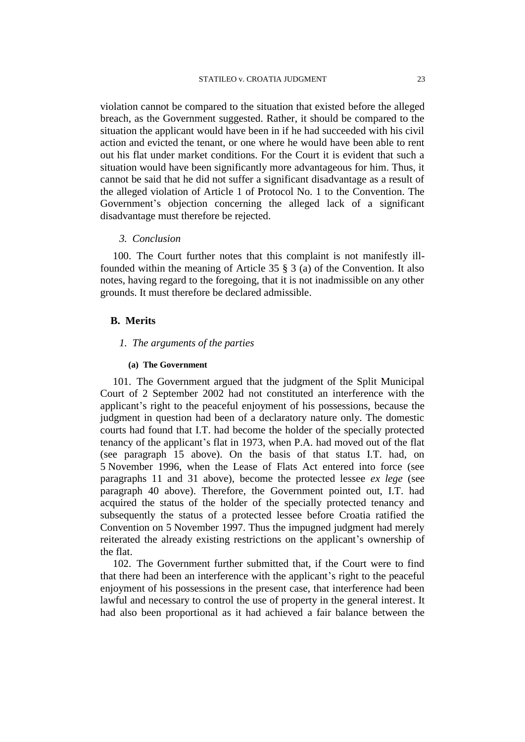violation cannot be compared to the situation that existed before the alleged breach, as the Government suggested. Rather, it should be compared to the situation the applicant would have been in if he had succeeded with his civil action and evicted the tenant, or one where he would have been able to rent out his flat under market conditions. For the Court it is evident that such a situation would have been significantly more advantageous for him. Thus, it cannot be said that he did not suffer a significant disadvantage as a result of the alleged violation of Article 1 of Protocol No. 1 to the Convention. The Government's objection concerning the alleged lack of a significant disadvantage must therefore be rejected.

## *3. Conclusion*

100. The Court further notes that this complaint is not manifestly illfounded within the meaning of Article 35 § 3 (a) of the Convention. It also notes, having regard to the foregoing, that it is not inadmissible on any other grounds. It must therefore be declared admissible.

## **B. Merits**

## *1. The arguments of the parties*

### **(a) The Government**

101. The Government argued that the judgment of the Split Municipal Court of 2 September 2002 had not constituted an interference with the applicant's right to the peaceful enjoyment of his possessions, because the judgment in question had been of a declaratory nature only. The domestic courts had found that I.T. had become the holder of the specially protected tenancy of the applicant's flat in 1973, when P.A. had moved out of the flat (see paragraph 15 above). On the basis of that status I.T. had, on 5 November 1996, when the Lease of Flats Act entered into force (see paragraphs 11 and 31 above), become the protected lessee *ex lege* (see paragraph 40 above). Therefore, the Government pointed out, I.T. had acquired the status of the holder of the specially protected tenancy and subsequently the status of a protected lessee before Croatia ratified the Convention on 5 November 1997. Thus the impugned judgment had merely reiterated the already existing restrictions on the applicant's ownership of the flat.

102. The Government further submitted that, if the Court were to find that there had been an interference with the applicant's right to the peaceful enjoyment of his possessions in the present case, that interference had been lawful and necessary to control the use of property in the general interest. It had also been proportional as it had achieved a fair balance between the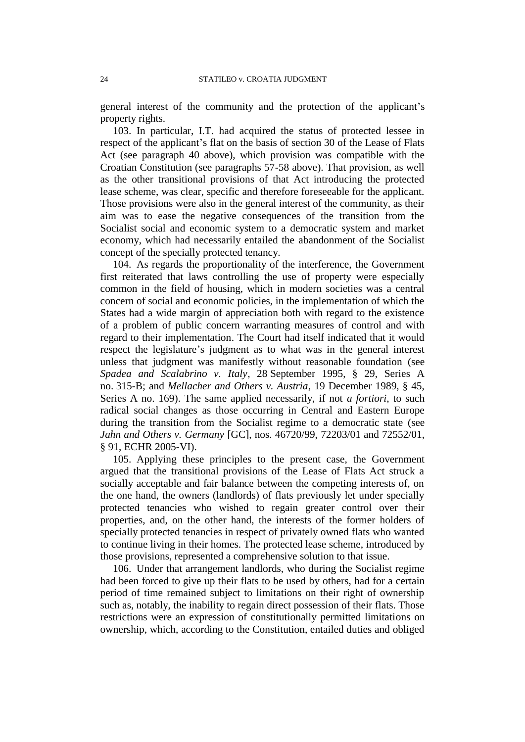general interest of the community and the protection of the applicant's property rights.

103. In particular, I.T. had acquired the status of protected lessee in respect of the applicant's flat on the basis of section 30 of the Lease of Flats Act (see paragraph 40 above), which provision was compatible with the Croatian Constitution (see paragraphs 57-58 above). That provision, as well as the other transitional provisions of that Act introducing the protected lease scheme, was clear, specific and therefore foreseeable for the applicant. Those provisions were also in the general interest of the community, as their aim was to ease the negative consequences of the transition from the Socialist social and economic system to a democratic system and market economy, which had necessarily entailed the abandonment of the Socialist concept of the specially protected tenancy.

104. As regards the proportionality of the interference, the Government first reiterated that laws controlling the use of property were especially common in the field of housing, which in modern societies was a central concern of social and economic policies, in the implementation of which the States had a wide margin of appreciation both with regard to the existence of a problem of public concern warranting measures of control and with regard to their implementation. The Court had itself indicated that it would respect the legislature's judgment as to what was in the general interest unless that judgment was manifestly without reasonable foundation (see *Spadea and Scalabrino v. Italy*, 28 September 1995, § 29, Series A no. 315-B; and *Mellacher and Others v. Austria*, 19 December 1989, § 45, Series A no. 169). The same applied necessarily, if not *a fortiori*, to such radical social changes as those occurring in Central and Eastern Europe during the transition from the Socialist regime to a democratic state (see *Jahn and Others v. Germany* [GC], nos. 46720/99, 72203/01 and 72552/01, § 91, ECHR 2005-VI).

105. Applying these principles to the present case, the Government argued that the transitional provisions of the Lease of Flats Act struck a socially acceptable and fair balance between the competing interests of, on the one hand, the owners (landlords) of flats previously let under specially protected tenancies who wished to regain greater control over their properties, and, on the other hand, the interests of the former holders of specially protected tenancies in respect of privately owned flats who wanted to continue living in their homes. The protected lease scheme, introduced by those provisions, represented a comprehensive solution to that issue.

106. Under that arrangement landlords, who during the Socialist regime had been forced to give up their flats to be used by others, had for a certain period of time remained subject to limitations on their right of ownership such as, notably, the inability to regain direct possession of their flats. Those restrictions were an expression of constitutionally permitted limitations on ownership, which, according to the Constitution, entailed duties and obliged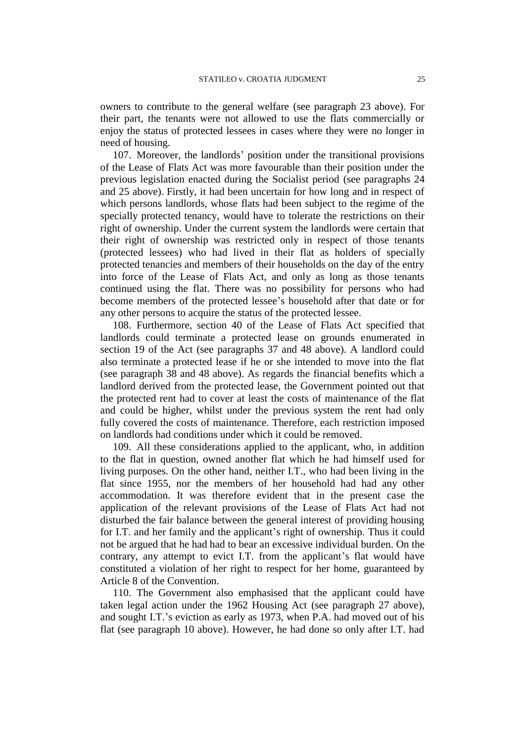owners to contribute to the general welfare (see paragraph 23 above). For their part, the tenants were not allowed to use the flats commercially or enjoy the status of protected lessees in cases where they were no longer in need of housing.

107. Moreover, the landlords' position under the transitional provisions of the Lease of Flats Act was more favourable than their position under the previous legislation enacted during the Socialist period (see paragraphs 24 and 25 above). Firstly, it had been uncertain for how long and in respect of which persons landlords, whose flats had been subject to the regime of the specially protected tenancy, would have to tolerate the restrictions on their right of ownership. Under the current system the landlords were certain that their right of ownership was restricted only in respect of those tenants (protected lessees) who had lived in their flat as holders of specially protected tenancies and members of their households on the day of the entry into force of the Lease of Flats Act, and only as long as those tenants continued using the flat. There was no possibility for persons who had become members of the protected lessee's household after that date or for any other persons to acquire the status of the protected lessee.

108. Furthermore, section 40 of the Lease of Flats Act specified that landlords could terminate a protected lease on grounds enumerated in section 19 of the Act (see paragraphs 37 and 48 above). A landlord could also terminate a protected lease if he or she intended to move into the flat (see paragraph 38 and 48 above). As regards the financial benefits which a landlord derived from the protected lease, the Government pointed out that the protected rent had to cover at least the costs of maintenance of the flat and could be higher, whilst under the previous system the rent had only fully covered the costs of maintenance. Therefore, each restriction imposed on landlords had conditions under which it could be removed.

109. All these considerations applied to the applicant, who, in addition to the flat in question, owned another flat which he had himself used for living purposes. On the other hand, neither I.T., who had been living in the flat since 1955, nor the members of her household had had any other accommodation. It was therefore evident that in the present case the application of the relevant provisions of the Lease of Flats Act had not disturbed the fair balance between the general interest of providing housing for I.T. and her family and the applicant's right of ownership. Thus it could not be argued that he had had to bear an excessive individual burden. On the contrary, any attempt to evict I.T. from the applicant's flat would have constituted a violation of her right to respect for her home, guaranteed by Article 8 of the Convention.

110. The Government also emphasised that the applicant could have taken legal action under the 1962 Housing Act (see paragraph 27 above), and sought I.T.'s eviction as early as 1973, when P.A. had moved out of his flat (see paragraph 10 above). However, he had done so only after I.T. had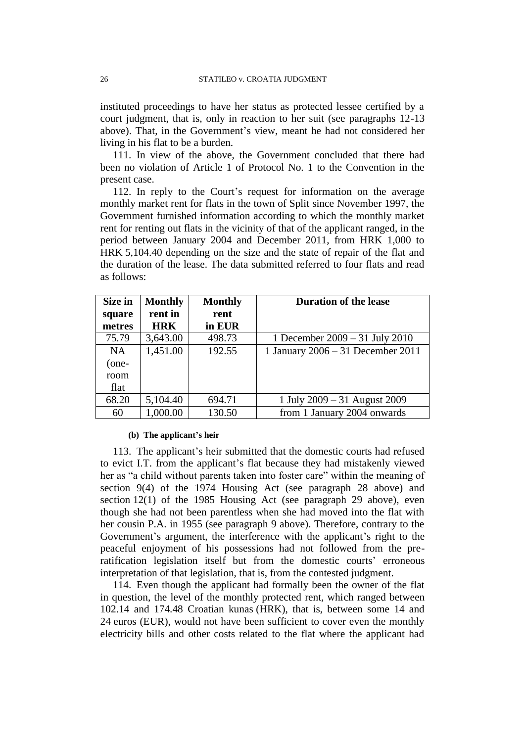instituted proceedings to have her status as protected lessee certified by a court judgment, that is, only in reaction to her suit (see paragraphs 12-13 above). That, in the Government's view, meant he had not considered her living in his flat to be a burden.

111. In view of the above, the Government concluded that there had been no violation of Article 1 of Protocol No. 1 to the Convention in the present case.

112. In reply to the Court's request for information on the average monthly market rent for flats in the town of Split since November 1997, the Government furnished information according to which the monthly market rent for renting out flats in the vicinity of that of the applicant ranged, in the period between January 2004 and December 2011, from HRK 1,000 to HRK 5,104.40 depending on the size and the state of repair of the flat and the duration of the lease. The data submitted referred to four flats and read as follows:

| Size in | <b>Monthly</b> | <b>Monthly</b> | <b>Duration of the lease</b>      |
|---------|----------------|----------------|-----------------------------------|
| square  | rent in        | rent           |                                   |
| metres  | <b>HRK</b>     | in EUR         |                                   |
| 75.79   | 3,643.00       | 498.73         | 1 December $2009 - 31$ July 2010  |
| NA      | 1,451.00       | 192.55         | 1 January 2006 - 31 December 2011 |
| (one-   |                |                |                                   |
| room    |                |                |                                   |
| flat    |                |                |                                   |
| 68.20   | 5,104.40       | 694.71         | 1 July 2009 – 31 August 2009      |
| 60      | 1,000.00       | 130.50         | from 1 January 2004 onwards       |

#### **(b) The applicant's heir**

113. The applicant's heir submitted that the domestic courts had refused to evict I.T. from the applicant's flat because they had mistakenly viewed her as "a child without parents taken into foster care" within the meaning of section 9(4) of the 1974 Housing Act (see paragraph 28 above) and section 12(1) of the 1985 Housing Act (see paragraph 29 above), even though she had not been parentless when she had moved into the flat with her cousin P.A. in 1955 (see paragraph 9 above). Therefore, contrary to the Government's argument, the interference with the applicant's right to the peaceful enjoyment of his possessions had not followed from the preratification legislation itself but from the domestic courts' erroneous interpretation of that legislation, that is, from the contested judgment.

114. Even though the applicant had formally been the owner of the flat in question, the level of the monthly protected rent, which ranged between 102.14 and 174.48 Croatian kunas (HRK), that is, between some 14 and 24 euros (EUR), would not have been sufficient to cover even the monthly electricity bills and other costs related to the flat where the applicant had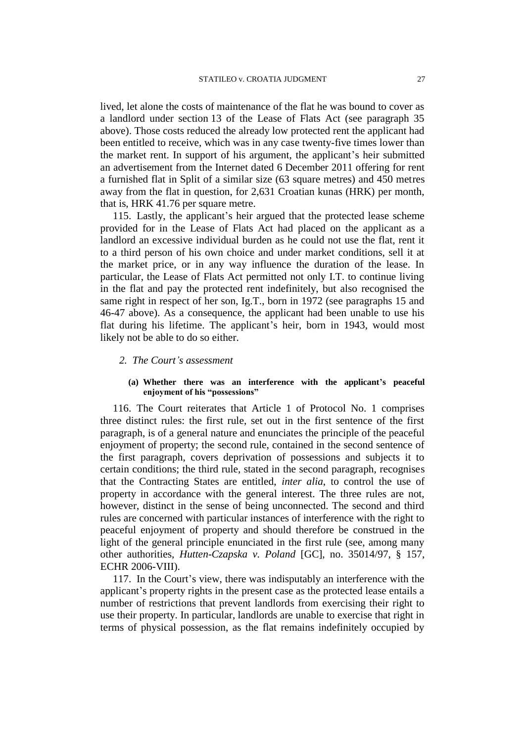lived, let alone the costs of maintenance of the flat he was bound to cover as a landlord under section 13 of the Lease of Flats Act (see paragraph 35 above). Those costs reduced the already low protected rent the applicant had been entitled to receive, which was in any case twenty-five times lower than the market rent. In support of his argument, the applicant's heir submitted an advertisement from the Internet dated 6 December 2011 offering for rent a furnished flat in Split of a similar size (63 square metres) and 450 metres away from the flat in question, for 2,631 Croatian kunas (HRK) per month, that is, HRK 41.76 per square metre.

115. Lastly, the applicant's heir argued that the protected lease scheme provided for in the Lease of Flats Act had placed on the applicant as a landlord an excessive individual burden as he could not use the flat, rent it to a third person of his own choice and under market conditions, sell it at the market price, or in any way influence the duration of the lease. In particular, the Lease of Flats Act permitted not only I.T. to continue living in the flat and pay the protected rent indefinitely, but also recognised the same right in respect of her son, Ig.T., born in 1972 (see paragraphs 15 and 46-47 above). As a consequence, the applicant had been unable to use his flat during his lifetime. The applicant's heir, born in 1943, would most likely not be able to do so either.

- *2. The Court's assessment*
	- **(a) Whether there was an interference with the applicant's peaceful enjoyment of his "possessions"**

116. The Court reiterates that Article 1 of Protocol No. 1 comprises three distinct rules: the first rule, set out in the first sentence of the first paragraph, is of a general nature and enunciates the principle of the peaceful enjoyment of property; the second rule, contained in the second sentence of the first paragraph, covers deprivation of possessions and subjects it to certain conditions; the third rule, stated in the second paragraph, recognises that the Contracting States are entitled, *inter alia*, to control the use of property in accordance with the general interest. The three rules are not, however, distinct in the sense of being unconnected. The second and third rules are concerned with particular instances of interference with the right to peaceful enjoyment of property and should therefore be construed in the light of the general principle enunciated in the first rule (see, among many other authorities, *Hutten-Czapska v. Poland* [GC], no. 35014/97, § 157, ECHR 2006-VIII).

117. In the Court's view, there was indisputably an interference with the applicant's property rights in the present case as the protected lease entails a number of restrictions that prevent landlords from exercising their right to use their property. In particular, landlords are unable to exercise that right in terms of physical possession, as the flat remains indefinitely occupied by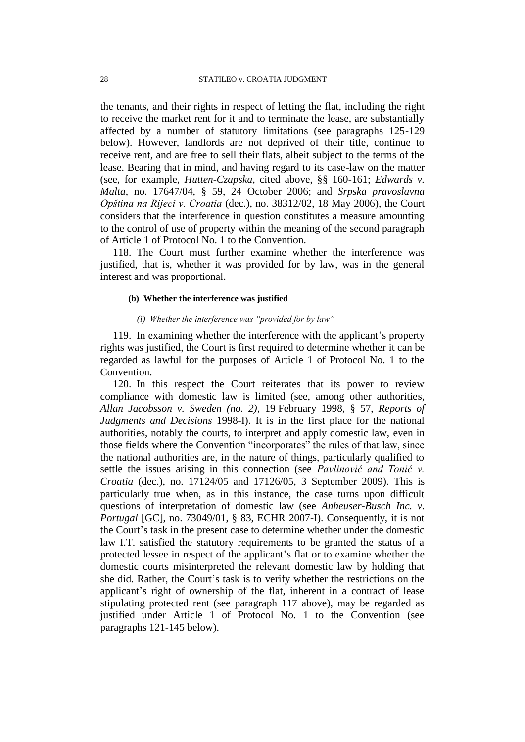the tenants, and their rights in respect of letting the flat, including the right to receive the market rent for it and to terminate the lease, are substantially affected by a number of statutory limitations (see paragraphs 125-129 below). However, landlords are not deprived of their title, continue to receive rent, and are free to sell their flats, albeit subject to the terms of the lease. Bearing that in mind, and having regard to its case-law on the matter (see, for example, *Hutten-Czapska*, cited above, §§ 160-161; *Edwards v. Malta*, no. 17647/04, § 59, 24 October 2006; and *Srpska pravoslavna Opština na Rijeci v. Croatia* (dec.), no. 38312/02, 18 May 2006), the Court considers that the interference in question constitutes a measure amounting to the control of use of property within the meaning of the second paragraph of Article 1 of Protocol No. 1 to the Convention.

118. The Court must further examine whether the interference was justified, that is, whether it was provided for by law, was in the general interest and was proportional.

### **(b) Whether the interference was justified**

### *(i) Whether the interference was "provided for by law"*

119. In examining whether the interference with the applicant's property rights was justified, the Court is first required to determine whether it can be regarded as lawful for the purposes of Article 1 of Protocol No. 1 to the Convention.

120. In this respect the Court reiterates that its power to review compliance with domestic law is limited (see, among other authorities, *Allan Jacobsson v. Sweden (no. 2)*, 19 February 1998, § 57, *Reports of Judgments and Decisions* 1998-I). It is in the first place for the national authorities, notably the courts, to interpret and apply domestic law, even in those fields where the Convention "incorporates" the rules of that law, since the national authorities are, in the nature of things, particularly qualified to settle the issues arising in this connection (see *Pavlinović and Tonić v. Croatia* (dec.), no. 17124/05 and 17126/05, 3 September 2009). This is particularly true when, as in this instance, the case turns upon difficult questions of interpretation of domestic law (see *Anheuser-Busch Inc. v. Portugal* [GC], no. 73049/01, § 83, ECHR 2007-I). Consequently, it is not the Court's task in the present case to determine whether under the domestic law I.T. satisfied the statutory requirements to be granted the status of a protected lessee in respect of the applicant's flat or to examine whether the domestic courts misinterpreted the relevant domestic law by holding that she did. Rather, the Court's task is to verify whether the restrictions on the applicant's right of ownership of the flat, inherent in a contract of lease stipulating protected rent (see paragraph 117 above), may be regarded as justified under Article 1 of Protocol No. 1 to the Convention (see paragraphs 121-145 below).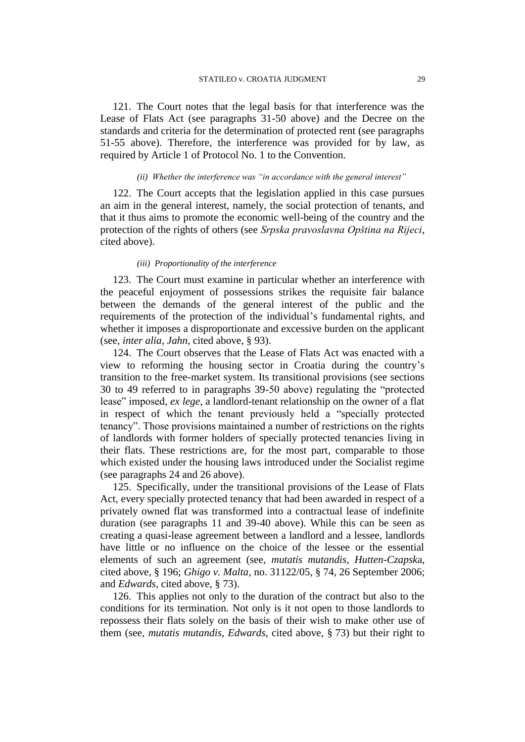121. The Court notes that the legal basis for that interference was the Lease of Flats Act (see paragraphs 31-50 above) and the Decree on the standards and criteria for the determination of protected rent (see paragraphs 51-55 above). Therefore, the interference was provided for by law, as required by Article 1 of Protocol No. 1 to the Convention.

### *(ii) Whether the interference was "in accordance with the general interest"*

122. The Court accepts that the legislation applied in this case pursues an aim in the general interest, namely, the social protection of tenants, and that it thus aims to promote the economic well-being of the country and the protection of the rights of others (see *Srpska pravoslavna Opština na Rijeci*, cited above).

### *(iii) Proportionality of the interference*

123. The Court must examine in particular whether an interference with the peaceful enjoyment of possessions strikes the requisite fair balance between the demands of the general interest of the public and the requirements of the protection of the individual's fundamental rights, and whether it imposes a disproportionate and excessive burden on the applicant (see, *inter alia*, *Jahn*, cited above, § 93).

124. The Court observes that the Lease of Flats Act was enacted with a view to reforming the housing sector in Croatia during the country's transition to the free-market system. Its transitional provisions (see sections 30 to 49 referred to in paragraphs 39-50 above) regulating the "protected lease" imposed, *ex lege*, a landlord-tenant relationship on the owner of a flat in respect of which the tenant previously held a "specially protected tenancy". Those provisions maintained a number of restrictions on the rights of landlords with former holders of specially protected tenancies living in their flats. These restrictions are, for the most part, comparable to those which existed under the housing laws introduced under the Socialist regime (see paragraphs 24 and 26 above).

125. Specifically, under the transitional provisions of the Lease of Flats Act, every specially protected tenancy that had been awarded in respect of a privately owned flat was transformed into a contractual lease of indefinite duration (see paragraphs 11 and 39-40 above). While this can be seen as creating a quasi-lease agreement between a landlord and a lessee, landlords have little or no influence on the choice of the lessee or the essential elements of such an agreement (see, *mutatis mutandis*, *Hutten-Czapsk*a, cited above, § 196; *Ghigo v. Malta*, no. 31122/05, § 74, 26 September 2006; and *Edwards*, cited above, § 73).

126. This applies not only to the duration of the contract but also to the conditions for its termination. Not only is it not open to those landlords to repossess their flats solely on the basis of their wish to make other use of them (see, *mutatis mutandis*, *Edwards*, cited above, § 73) but their right to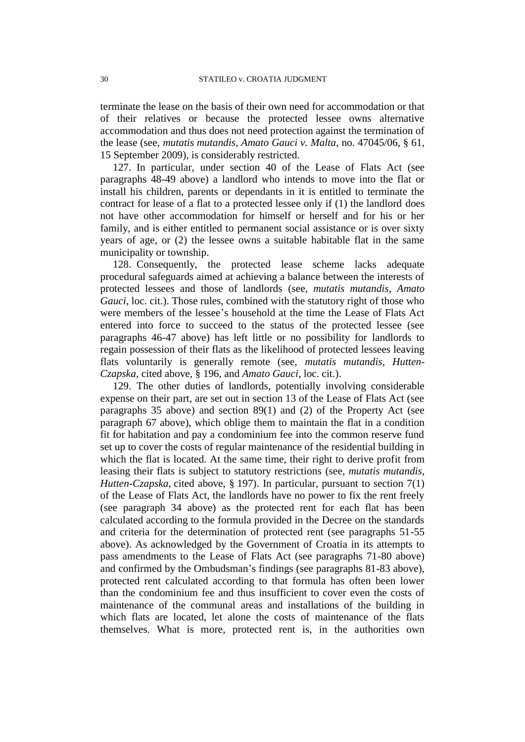terminate the lease on the basis of their own need for accommodation or that of their relatives or because the protected lessee owns alternative accommodation and thus does not need protection against the termination of the lease (see, *mutatis mutandis*, *Amato Gauci v. Malta*, no. 47045/06, § 61, 15 September 2009), is considerably restricted.

127. In particular, under section 40 of the Lease of Flats Act (see paragraphs 48-49 above) a landlord who intends to move into the flat or install his children, parents or dependants in it is entitled to terminate the contract for lease of a flat to a protected lessee only if (1) the landlord does not have other accommodation for himself or herself and for his or her family, and is either entitled to permanent social assistance or is over sixty years of age, or (2) the lessee owns a suitable habitable flat in the same municipality or township.

128. Consequently, the protected lease scheme lacks adequate procedural safeguards aimed at achieving a balance between the interests of protected lessees and those of landlords (see, *mutatis mutandis*, *Amato Gauci*, loc. cit.). Those rules, combined with the statutory right of those who were members of the lessee's household at the time the Lease of Flats Act entered into force to succeed to the status of the protected lessee (see paragraphs 46-47 above) has left little or no possibility for landlords to regain possession of their flats as the likelihood of protected lessees leaving flats voluntarily is generally remote (see, *mutatis mutandis*, *Hutten-Czapska*, cited above, § 196, and *Amato Gauci*, loc. cit.).

129. The other duties of landlords, potentially involving considerable expense on their part, are set out in section 13 of the Lease of Flats Act (see paragraphs 35 above) and section 89(1) and (2) of the Property Act (see paragraph 67 above), which oblige them to maintain the flat in a condition fit for habitation and pay a condominium fee into the common reserve fund set up to cover the costs of regular maintenance of the residential building in which the flat is located. At the same time, their right to derive profit from leasing their flats is subject to statutory restrictions (see, *mutatis mutandis*, *Hutten-Czapska*, cited above, § 197). In particular, pursuant to section 7(1) of the Lease of Flats Act, the landlords have no power to fix the rent freely (see paragraph 34 above) as the protected rent for each flat has been calculated according to the formula provided in the Decree on the standards and criteria for the determination of protected rent (see paragraphs 51-55 above). As acknowledged by the Government of Croatia in its attempts to pass amendments to the Lease of Flats Act (see paragraphs 71-80 above) and confirmed by the Ombudsman's findings (see paragraphs 81-83 above), protected rent calculated according to that formula has often been lower than the condominium fee and thus insufficient to cover even the costs of maintenance of the communal areas and installations of the building in which flats are located, let alone the costs of maintenance of the flats themselves. What is more, protected rent is, in the authorities own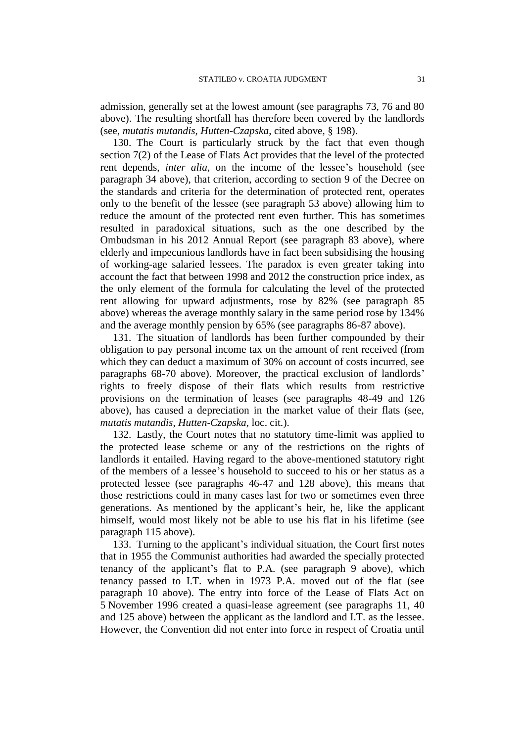admission, generally set at the lowest amount (see paragraphs 73, 76 and 80 above). The resulting shortfall has therefore been covered by the landlords (see, *mutatis mutandis*, *Hutten-Czapska*, cited above, § 198).

130. The Court is particularly struck by the fact that even though section 7(2) of the Lease of Flats Act provides that the level of the protected rent depends, *inter alia*, on the income of the lessee's household (see paragraph 34 above), that criterion, according to section 9 of the Decree on the standards and criteria for the determination of protected rent, operates only to the benefit of the lessee (see paragraph 53 above) allowing him to reduce the amount of the protected rent even further. This has sometimes resulted in paradoxical situations, such as the one described by the Ombudsman in his 2012 Annual Report (see paragraph 83 above), where elderly and impecunious landlords have in fact been subsidising the housing of working-age salaried lessees. The paradox is even greater taking into account the fact that between 1998 and 2012 the construction price index, as the only element of the formula for calculating the level of the protected rent allowing for upward adjustments, rose by 82% (see paragraph 85 above) whereas the average monthly salary in the same period rose by 134% and the average monthly pension by 65% (see paragraphs 86-87 above).

131. The situation of landlords has been further compounded by their obligation to pay personal income tax on the amount of rent received (from which they can deduct a maximum of 30% on account of costs incurred, see paragraphs 68-70 above). Moreover, the practical exclusion of landlords' rights to freely dispose of their flats which results from restrictive provisions on the termination of leases (see paragraphs 48-49 and 126 above), has caused a depreciation in the market value of their flats (see, *mutatis mutandis*, *Hutten-Czapska*, loc. cit.).

132. Lastly, the Court notes that no statutory time-limit was applied to the protected lease scheme or any of the restrictions on the rights of landlords it entailed. Having regard to the above-mentioned statutory right of the members of a lessee's household to succeed to his or her status as a protected lessee (see paragraphs 46-47 and 128 above), this means that those restrictions could in many cases last for two or sometimes even three generations. As mentioned by the applicant's heir, he, like the applicant himself, would most likely not be able to use his flat in his lifetime (see paragraph 115 above).

133. Turning to the applicant's individual situation, the Court first notes that in 1955 the Communist authorities had awarded the specially protected tenancy of the applicant's flat to P.A. (see paragraph 9 above), which tenancy passed to I.T. when in 1973 P.A. moved out of the flat (see paragraph 10 above). The entry into force of the Lease of Flats Act on 5 November 1996 created a quasi-lease agreement (see paragraphs 11, 40 and 125 above) between the applicant as the landlord and I.T. as the lessee. However, the Convention did not enter into force in respect of Croatia until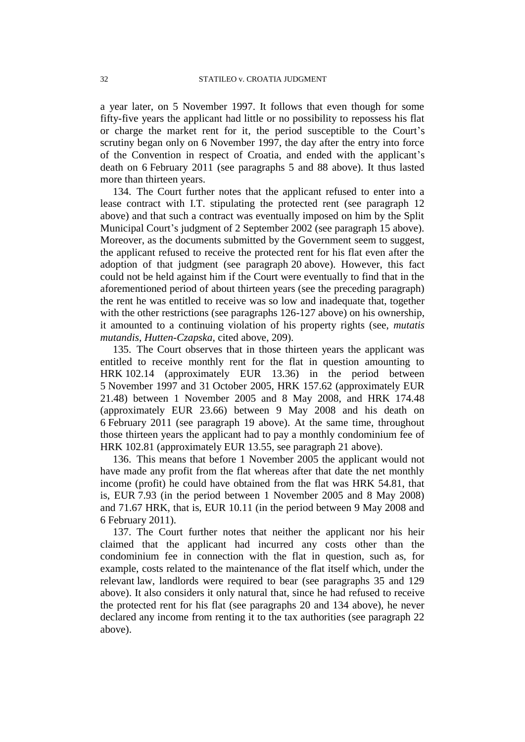a year later, on 5 November 1997. It follows that even though for some fifty-five years the applicant had little or no possibility to repossess his flat or charge the market rent for it, the period susceptible to the Court's scrutiny began only on 6 November 1997, the day after the entry into force of the Convention in respect of Croatia, and ended with the applicant's death on 6 February 2011 (see paragraphs 5 and 88 above). It thus lasted more than thirteen years.

134. The Court further notes that the applicant refused to enter into a lease contract with I.T. stipulating the protected rent (see paragraph 12 above) and that such a contract was eventually imposed on him by the Split Municipal Court's judgment of 2 September 2002 (see paragraph 15 above). Moreover, as the documents submitted by the Government seem to suggest, the applicant refused to receive the protected rent for his flat even after the adoption of that judgment (see paragraph 20 above). However, this fact could not be held against him if the Court were eventually to find that in the aforementioned period of about thirteen years (see the preceding paragraph) the rent he was entitled to receive was so low and inadequate that, together with the other restrictions (see paragraphs 126-127 above) on his ownership, it amounted to a continuing violation of his property rights (see, *mutatis mutandis*, *Hutten-Czapska*, cited above, 209).

135. The Court observes that in those thirteen years the applicant was entitled to receive monthly rent for the flat in question amounting to HRK 102.14 (approximately EUR 13.36) in the period between 5 November 1997 and 31 October 2005, HRK 157.62 (approximately EUR 21.48) between 1 November 2005 and 8 May 2008, and HRK 174.48 (approximately EUR 23.66) between 9 May 2008 and his death on 6 February 2011 (see paragraph 19 above). At the same time, throughout those thirteen years the applicant had to pay a monthly condominium fee of HRK 102.81 (approximately EUR 13.55, see paragraph 21 above).

136. This means that before 1 November 2005 the applicant would not have made any profit from the flat whereas after that date the net monthly income (profit) he could have obtained from the flat was HRK 54.81, that is, EUR 7.93 (in the period between 1 November 2005 and 8 May 2008) and 71.67 HRK, that is, EUR 10.11 (in the period between 9 May 2008 and 6 February 2011).

137. The Court further notes that neither the applicant nor his heir claimed that the applicant had incurred any costs other than the condominium fee in connection with the flat in question, such as, for example, costs related to the maintenance of the flat itself which, under the relevant law, landlords were required to bear (see paragraphs 35 and 129 above). It also considers it only natural that, since he had refused to receive the protected rent for his flat (see paragraphs 20 and 134 above), he never declared any income from renting it to the tax authorities (see paragraph 22 above).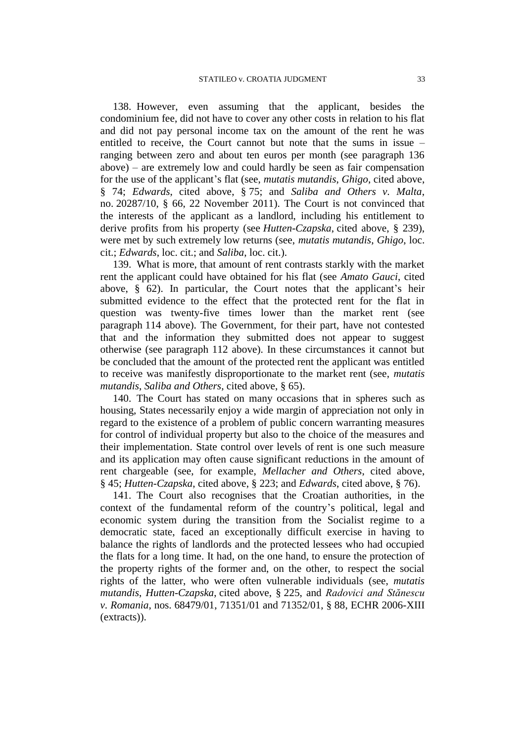138. However, even assuming that the applicant, besides the condominium fee, did not have to cover any other costs in relation to his flat and did not pay personal income tax on the amount of the rent he was entitled to receive, the Court cannot but note that the sums in issue – ranging between zero and about ten euros per month (see paragraph 136 above) – are extremely low and could hardly be seen as fair compensation for the use of the applicant's flat (see, *mutatis mutandis*, *Ghigo*, cited above, § 74; *Edwards*, cited above, § 75; and *Saliba and Others v. Malta*, no. 20287/10, § 66, 22 November 2011). The Court is not convinced that the interests of the applicant as a landlord, including his entitlement to derive profits from his property (see *Hutten-Czapska*, cited above, § 239), were met by such extremely low returns (see, *mutatis mutandis*, *Ghigo*, loc. cit.; *Edwards*, loc. cit.; and *Saliba*, loc. cit.).

139. What is more, that amount of rent contrasts starkly with the market rent the applicant could have obtained for his flat (see *Amato Gauci*, cited above,  $\S$  62). In particular, the Court notes that the applicant's heir submitted evidence to the effect that the protected rent for the flat in question was twenty-five times lower than the market rent (see paragraph 114 above). The Government, for their part, have not contested that and the information they submitted does not appear to suggest otherwise (see paragraph 112 above). In these circumstances it cannot but be concluded that the amount of the protected rent the applicant was entitled to receive was manifestly disproportionate to the market rent (see, *mutatis mutandis*, *Saliba and Others*, cited above, § 65).

140. The Court has stated on many occasions that in spheres such as housing, States necessarily enjoy a wide margin of appreciation not only in regard to the existence of a problem of public concern warranting measures for control of individual property but also to the choice of the measures and their implementation. State control over levels of rent is one such measure and its application may often cause significant reductions in the amount of rent chargeable (see, for example, *Mellacher and Others*, cited above, § 45; *Hutten-Czapska*, cited above, § 223; and *Edwards*, cited above, § 76).

141. The Court also recognises that the Croatian authorities, in the context of the fundamental reform of the country's political, legal and economic system during the transition from the Socialist regime to a democratic state, faced an exceptionally difficult exercise in having to balance the rights of landlords and the protected lessees who had occupied the flats for a long time. It had, on the one hand, to ensure the protection of the property rights of the former and, on the other, to respect the social rights of the latter, who were often vulnerable individuals (see, *mutatis mutandis*, *Hutten-Czapska*, cited above, § 225, and *Radovici and Stănescu v. Romania*, nos. 68479/01, 71351/01 and 71352/01, § 88, ECHR 2006-XIII (extracts)).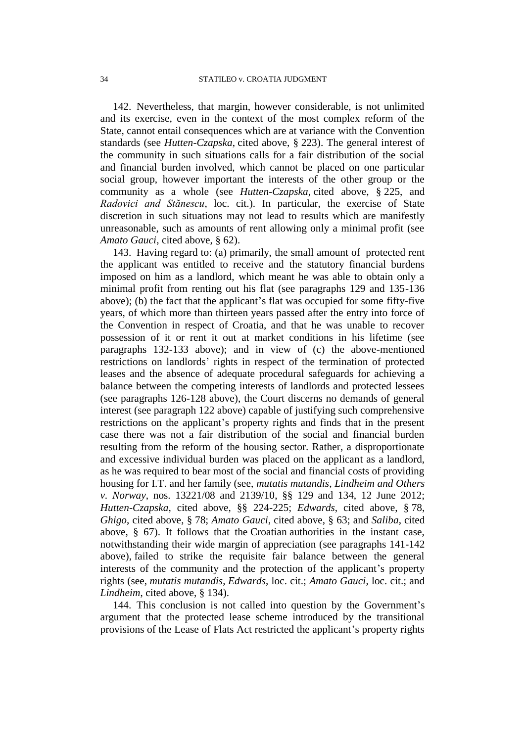142. Nevertheless, that margin, however considerable, is not unlimited and its exercise, even in the context of the most complex reform of the State, cannot entail consequences which are at variance with the Convention standards (see *Hutten-Czapska*, cited above, § 223). The general interest of the community in such situations calls for a fair distribution of the social and financial burden involved, which cannot be placed on one particular social group, however important the interests of the other group or the community as a whole (see *Hutten-Czapska*, cited above, § 225, and *Radovici and Stănescu*, loc. cit.). In particular, the exercise of State discretion in such situations may not lead to results which are manifestly unreasonable, such as amounts of rent allowing only a minimal profit (see *Amato Gauci*, cited above, § 62).

143. Having regard to: (a) primarily, the small amount of protected rent the applicant was entitled to receive and the statutory financial burdens imposed on him as a landlord, which meant he was able to obtain only a minimal profit from renting out his flat (see paragraphs 129 and 135-136 above); (b) the fact that the applicant's flat was occupied for some fifty-five years, of which more than thirteen years passed after the entry into force of the Convention in respect of Croatia, and that he was unable to recover possession of it or rent it out at market conditions in his lifetime (see paragraphs 132-133 above); and in view of (c) the above-mentioned restrictions on landlords' rights in respect of the termination of protected leases and the absence of adequate procedural safeguards for achieving a balance between the competing interests of landlords and protected lessees (see paragraphs 126-128 above), the Court discerns no demands of general interest (see paragraph 122 above) capable of justifying such comprehensive restrictions on the applicant's property rights and finds that in the present case there was not a fair distribution of the social and financial burden resulting from the reform of the housing sector. Rather, a disproportionate and excessive individual burden was placed on the applicant as a landlord, as he was required to bear most of the social and financial costs of providing housing for I.T. and her family (see, *mutatis mutandis*, *Lindheim and Others v. Norway*, nos. 13221/08 and 2139/10, §§ 129 and 134, 12 June 2012; *Hutten-Czapska*, cited above, §§ 224-225; *Edwards*, cited above, § 78, *Ghigo*, cited above, § 78; *Amato Gauci*, cited above, § 63; and *Saliba*, cited above, § 67). It follows that the Croatian authorities in the instant case, notwithstanding their wide margin of appreciation (see paragraphs 141-142 above), failed to strike the requisite fair balance between the general interests of the community and the protection of the applicant's property rights (see, *mutatis mutandis*, *Edwards*, loc. cit.; *Amato Gauci*, loc. cit.; and *Lindheim*, cited above, § 134).

144. This conclusion is not called into question by the Government's argument that the protected lease scheme introduced by the transitional provisions of the Lease of Flats Act restricted the applicant's property rights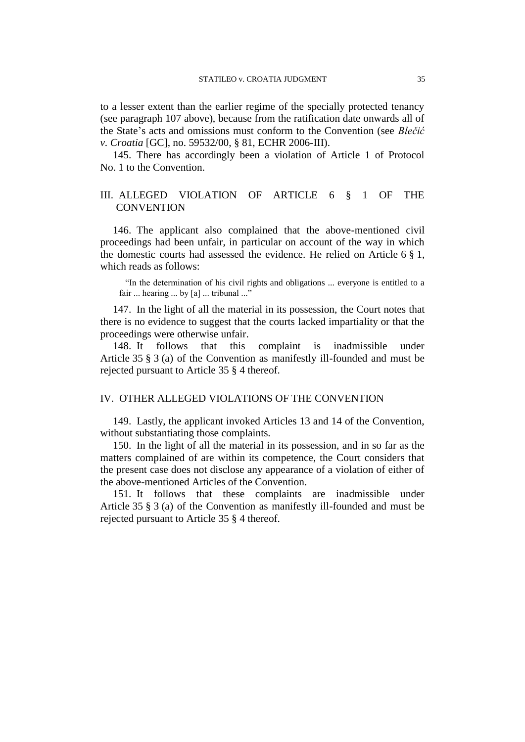to a lesser extent than the earlier regime of the specially protected tenancy (see paragraph 107 above), because from the ratification date onwards all of the State's acts and omissions must conform to the Convention (see *Blečić v. Croatia* [GC], no. 59532/00, § 81, ECHR 2006-III).

145. There has accordingly been a violation of Article 1 of Protocol No. 1 to the Convention.

## III. ALLEGED VIOLATION OF ARTICLE 6 § 1 OF THE **CONVENTION**

146. The applicant also complained that the above-mentioned civil proceedings had been unfair, in particular on account of the way in which the domestic courts had assessed the evidence. He relied on Article 6 § 1, which reads as follows:

"In the determination of his civil rights and obligations ... everyone is entitled to a fair ... hearing ... by [a] ... tribunal ..."

147. In the light of all the material in its possession, the Court notes that there is no evidence to suggest that the courts lacked impartiality or that the proceedings were otherwise unfair.

148. It follows that this complaint is inadmissible under Article 35 § 3 (a) of the Convention as manifestly ill-founded and must be rejected pursuant to Article 35 § 4 thereof.

## IV. OTHER ALLEGED VIOLATIONS OF THE CONVENTION

149. Lastly, the applicant invoked Articles 13 and 14 of the Convention, without substantiating those complaints.

150. In the light of all the material in its possession, and in so far as the matters complained of are within its competence, the Court considers that the present case does not disclose any appearance of a violation of either of the above-mentioned Articles of the Convention.

151. It follows that these complaints are inadmissible under Article 35 § 3 (a) of the Convention as manifestly ill-founded and must be rejected pursuant to Article 35 § 4 thereof.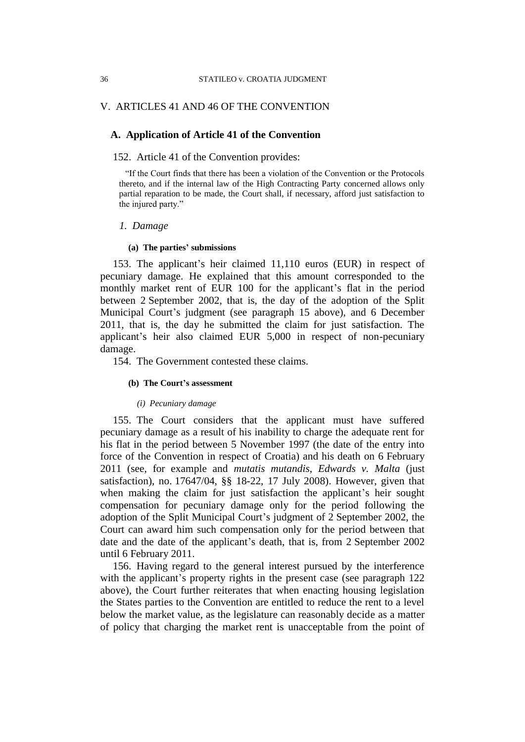## V. ARTICLES 41 AND 46 OF THE CONVENTION

## **A. Application of Article 41 of the Convention**

### 152. Article 41 of the Convention provides:

"If the Court finds that there has been a violation of the Convention or the Protocols thereto, and if the internal law of the High Contracting Party concerned allows only partial reparation to be made, the Court shall, if necessary, afford just satisfaction to the injured party."

## *1. Damage*

### **(a) The parties' submissions**

153. The applicant's heir claimed 11,110 euros (EUR) in respect of pecuniary damage. He explained that this amount corresponded to the monthly market rent of EUR 100 for the applicant's flat in the period between 2 September 2002, that is, the day of the adoption of the Split Municipal Court's judgment (see paragraph 15 above), and 6 December 2011, that is, the day he submitted the claim for just satisfaction. The applicant's heir also claimed EUR 5,000 in respect of non-pecuniary damage.

154. The Government contested these claims.

#### **(b) The Court's assessment**

### *(i) Pecuniary damage*

155. The Court considers that the applicant must have suffered pecuniary damage as a result of his inability to charge the adequate rent for his flat in the period between 5 November 1997 (the date of the entry into force of the Convention in respect of Croatia) and his death on 6 February 2011 (see, for example and *mutatis mutandis*, *Edwards v. Malta* (just satisfaction), no. 17647/04, §§ 18-22, 17 July 2008). However, given that when making the claim for just satisfaction the applicant's heir sought compensation for pecuniary damage only for the period following the adoption of the Split Municipal Court's judgment of 2 September 2002, the Court can award him such compensation only for the period between that date and the date of the applicant's death, that is, from 2 September 2002 until 6 February 2011.

156. Having regard to the general interest pursued by the interference with the applicant's property rights in the present case (see paragraph 122) above), the Court further reiterates that when enacting housing legislation the States parties to the Convention are entitled to reduce the rent to a level below the market value, as the legislature can reasonably decide as a matter of policy that charging the market rent is unacceptable from the point of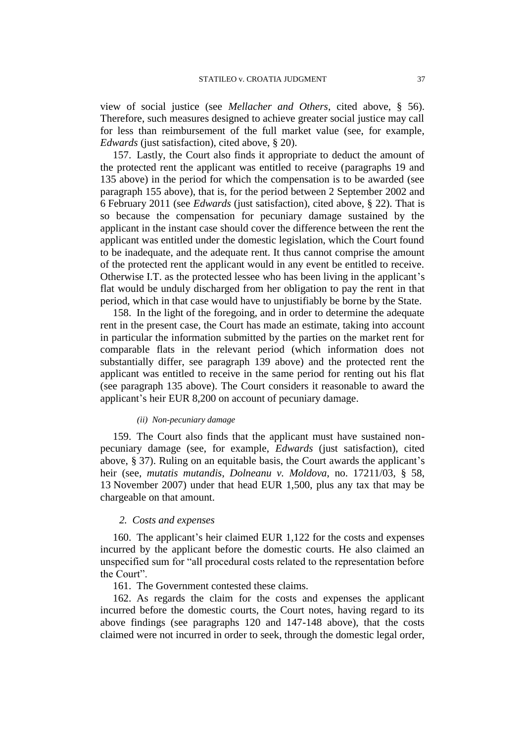view of social justice (see *Mellacher and Others*, cited above, § 56). Therefore, such measures designed to achieve greater social justice may call for less than reimbursement of the full market value (see, for example, *Edwards* (just satisfaction), cited above, § 20).

157. Lastly, the Court also finds it appropriate to deduct the amount of the protected rent the applicant was entitled to receive (paragraphs 19 and 135 above) in the period for which the compensation is to be awarded (see paragraph 155 above), that is, for the period between 2 September 2002 and 6 February 2011 (see *Edwards* (just satisfaction), cited above, § 22). That is so because the compensation for pecuniary damage sustained by the applicant in the instant case should cover the difference between the rent the applicant was entitled under the domestic legislation, which the Court found to be inadequate, and the adequate rent. It thus cannot comprise the amount of the protected rent the applicant would in any event be entitled to receive. Otherwise I.T. as the protected lessee who has been living in the applicant's flat would be unduly discharged from her obligation to pay the rent in that period, which in that case would have to unjustifiably be borne by the State.

158. In the light of the foregoing, and in order to determine the adequate rent in the present case, the Court has made an estimate, taking into account in particular the information submitted by the parties on the market rent for comparable flats in the relevant period (which information does not substantially differ, see paragraph 139 above) and the protected rent the applicant was entitled to receive in the same period for renting out his flat (see paragraph 135 above). The Court considers it reasonable to award the applicant's heir EUR 8,200 on account of pecuniary damage.

### *(ii) Non-pecuniary damage*

159. The Court also finds that the applicant must have sustained nonpecuniary damage (see, for example, *Edwards* (just satisfaction), cited above, § 37). Ruling on an equitable basis, the Court awards the applicant's heir (see, *mutatis mutandis*, *Dolneanu v. Moldova*, no. 17211/03, § 58, 13 November 2007) under that head EUR 1,500, plus any tax that may be chargeable on that amount.

## *2. Costs and expenses*

160. The applicant's heir claimed EUR 1,122 for the costs and expenses incurred by the applicant before the domestic courts. He also claimed an unspecified sum for "all procedural costs related to the representation before the Court".

161. The Government contested these claims.

162. As regards the claim for the costs and expenses the applicant incurred before the domestic courts, the Court notes, having regard to its above findings (see paragraphs 120 and 147-148 above), that the costs claimed were not incurred in order to seek, through the domestic legal order,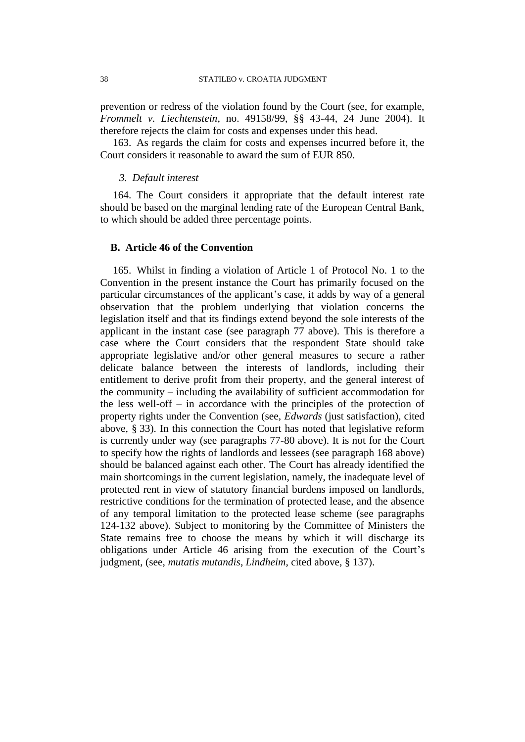prevention or redress of the violation found by the Court (see, for example, *Frommelt v. Liechtenstein*, no. 49158/99, §§ 43-44, 24 June 2004). It therefore rejects the claim for costs and expenses under this head.

163. As regards the claim for costs and expenses incurred before it, the Court considers it reasonable to award the sum of EUR 850.

## *3. Default interest*

164. The Court considers it appropriate that the default interest rate should be based on the marginal lending rate of the European Central Bank, to which should be added three percentage points.

## **B. Article 46 of the Convention**

165. Whilst in finding a violation of Article 1 of Protocol No. 1 to the Convention in the present instance the Court has primarily focused on the particular circumstances of the applicant's case, it adds by way of a general observation that the problem underlying that violation concerns the legislation itself and that its findings extend beyond the sole interests of the applicant in the instant case (see paragraph 77 above). This is therefore a case where the Court considers that the respondent State should take appropriate legislative and/or other general measures to secure a rather delicate balance between the interests of landlords, including their entitlement to derive profit from their property, and the general interest of the community – including the availability of sufficient accommodation for the less well-off – in accordance with the principles of the protection of property rights under the Convention (see, *Edwards* (just satisfaction), cited above, § 33). In this connection the Court has noted that legislative reform is currently under way (see paragraphs 77-80 above). It is not for the Court to specify how the rights of landlords and lessees (see paragraph 168 above) should be balanced against each other. The Court has already identified the main shortcomings in the current legislation, namely, the inadequate level of protected rent in view of statutory financial burdens imposed on landlords, restrictive conditions for the termination of protected lease, and the absence of any temporal limitation to the protected lease scheme (see paragraphs 124-132 above). Subject to monitoring by the Committee of Ministers the State remains free to choose the means by which it will discharge its obligations under Article 46 arising from the execution of the Court's judgment, (see, *mutatis mutandis*, *Lindheim*, cited above, § 137).